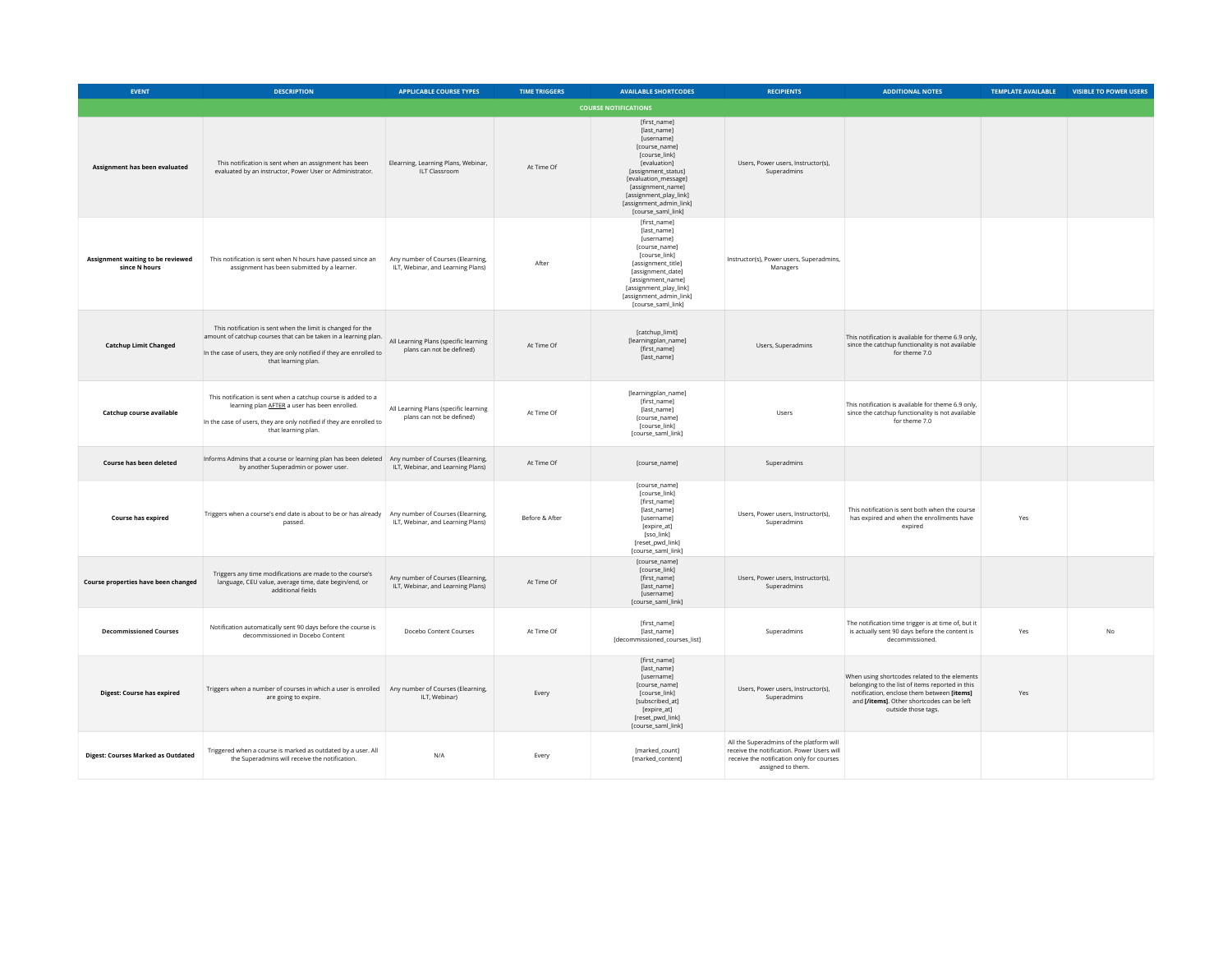| <b>EVENT</b>                                       | <b>DESCRIPTION</b>                                                                                                                                                                                                            | <b>APPLICABLE COURSE TYPES</b>                                         | <b>TIME TRIGGERS</b> | <b>AVAILABLE SHORTCODES</b>                                                                                                                                                                                                                | <b>RECIPIENTS</b>                                                                                                                                        | <b>ADDITIONAL NOTES</b>                                                                                                                                                                                             | <b>TEMPLATE AVAILABLE</b> | <b>VISIBLE TO POWER USERS</b> |
|----------------------------------------------------|-------------------------------------------------------------------------------------------------------------------------------------------------------------------------------------------------------------------------------|------------------------------------------------------------------------|----------------------|--------------------------------------------------------------------------------------------------------------------------------------------------------------------------------------------------------------------------------------------|----------------------------------------------------------------------------------------------------------------------------------------------------------|---------------------------------------------------------------------------------------------------------------------------------------------------------------------------------------------------------------------|---------------------------|-------------------------------|
|                                                    |                                                                                                                                                                                                                               |                                                                        |                      | <b>COURSE NOTIFICATIONS</b>                                                                                                                                                                                                                |                                                                                                                                                          |                                                                                                                                                                                                                     |                           |                               |
| Assignment has been evaluated                      | This notification is sent when an assignment has been<br>evaluated by an instructor, Power User or Administrator.                                                                                                             | Elearning, Learning Plans, Webinar,<br>ILT Classroom                   | At Time Of           | [first_name]<br>[last_name]<br>[username]<br>[course_name]<br>[course link]<br>[evaluation]<br>[assignment_status]<br>[evaluation_message]<br>[assignment_name]<br>[assignment_play_link]<br>[assignment_admin_link]<br>[course_saml_link] | Users, Power users, Instructor(s),<br>Superadmins                                                                                                        |                                                                                                                                                                                                                     |                           |                               |
| Assignment waiting to be reviewed<br>since N hours | This notification is sent when N hours have passed since an<br>assignment has been submitted by a learner.                                                                                                                    | Any number of Courses (Elearning,<br>ILT, Webinar, and Learning Plans) | After                | [first_name]<br>[last_name]<br>[username]<br>[course_name]<br>[course_link]<br>[assignment_title]<br>[assignment_date]<br>[assignment_name]<br>[assignment_play_link]<br>[assignment_admin_link]<br>[course saml link]                     | Instructor(s), Power users, Superadmins,<br>Managers                                                                                                     |                                                                                                                                                                                                                     |                           |                               |
| <b>Catchup Limit Changed</b>                       | This notification is sent when the limit is changed for the<br>amount of catchup courses that can be taken in a learning plan.<br>In the case of users, they are only notified if they are enrolled to<br>that learning plan. | All Learning Plans (specific learning<br>plans can not be defined)     | At Time Of           | [catchup_limit]<br>[learningplan_name]<br>[first_name]<br>[last_name]                                                                                                                                                                      | Users, Superadmins                                                                                                                                       | This notification is available for theme 6.9 only,<br>since the catchup functionality is not available<br>for theme 7.0                                                                                             |                           |                               |
| Catchup course available                           | This notification is sent when a catchup course is added to a<br>learning plan AFTER a user has been enrolled.<br>In the case of users, they are only notified if they are enrolled to<br>that learning plan.                 | All Learning Plans (specific learning<br>plans can not be defined)     | At Time Of           | [learningplan_name]<br>[first_name]<br>[last_name]<br>[course_name]<br>[course_link]<br>[course saml link]                                                                                                                                 | Users                                                                                                                                                    | This notification is available for theme 6.9 only,<br>since the catchup functionality is not available<br>for theme 7.0                                                                                             |                           |                               |
| Course has been deleted                            | Informs Admins that a course or learning plan has been deleted<br>by another Superadmin or power user.                                                                                                                        | Any number of Courses (Elearning,<br>ILT, Webinar, and Learning Plans) | At Time Of           | [course_name]                                                                                                                                                                                                                              | Superadmins                                                                                                                                              |                                                                                                                                                                                                                     |                           |                               |
| Course has expired                                 | Triggers when a course's end date is about to be or has already<br>passed.                                                                                                                                                    | Any number of Courses (Elearning,<br>ILT, Webinar, and Learning Plans) | Before & After       | [course_name]<br>[course_link]<br>[first_name]<br>[last_name]<br><b>fusernamel</b><br>[expire_at]<br>[sso_link]<br>[reset_pwd_link]<br>[course_saml_link]                                                                                  | Users, Power users, Instructor(s),<br>Superadmins                                                                                                        | This notification is sent both when the course<br>has expired and when the enrollments have<br>expired                                                                                                              | Yes                       |                               |
| Course properties have been changed                | Triggers any time modifications are made to the course's<br>language, CEU value, average time, date begin/end, or<br>additional fields                                                                                        | Any number of Courses (Elearning,<br>ILT, Webinar, and Learning Plans) | At Time Of           | [course_name]<br>[course_link]<br>[first_name]<br>[last_name]<br>[username]<br>[course_saml_link]                                                                                                                                          | Users, Power users, Instructor(s),<br>Superadmins                                                                                                        |                                                                                                                                                                                                                     |                           |                               |
| <b>Decommissioned Courses</b>                      | Notification automatically sent 90 days before the course is<br>decommissioned in Docebo Content                                                                                                                              | Docebo Content Courses                                                 | At Time Of           | [first_name]<br>[last_name]<br>[decommissioned_courses_list]                                                                                                                                                                               | Superadmins                                                                                                                                              | The notification time trigger is at time of, but it<br>is actually sent 90 days before the content is<br>decommissioned.                                                                                            | Yes                       | No                            |
| <b>Digest: Course has expired</b>                  | Triggers when a number of courses in which a user is enrolled   Any number of Courses (Elearning,<br>are going to expire.                                                                                                     | ILT, Webinar)                                                          | Every                | [first_name]<br>[last_name]<br>[username]<br>[course_name]<br>[course_link]<br>[subscribed_at]<br>[expire_at]<br>[reset_pwd_link]<br>[course_saml_link]                                                                                    | Users, Power users, Instructor(s),<br>Superadmins                                                                                                        | When using shortcodes related to the elements<br>belonging to the list of items reported in this<br>notification, enclose them between [items]<br>and [/items]. Other shortcodes can be left<br>outside those tags. | Yes                       |                               |
| <b>Digest: Courses Marked as Outdated</b>          | Triggered when a course is marked as outdated by a user. All<br>the Superadmins will receive the notification.                                                                                                                | N/A                                                                    | Every                | [marked_count]<br>[marked_content]                                                                                                                                                                                                         | All the Superadmins of the platform will<br>receive the notification. Power Users will<br>receive the notification only for courses<br>assigned to them. |                                                                                                                                                                                                                     |                           |                               |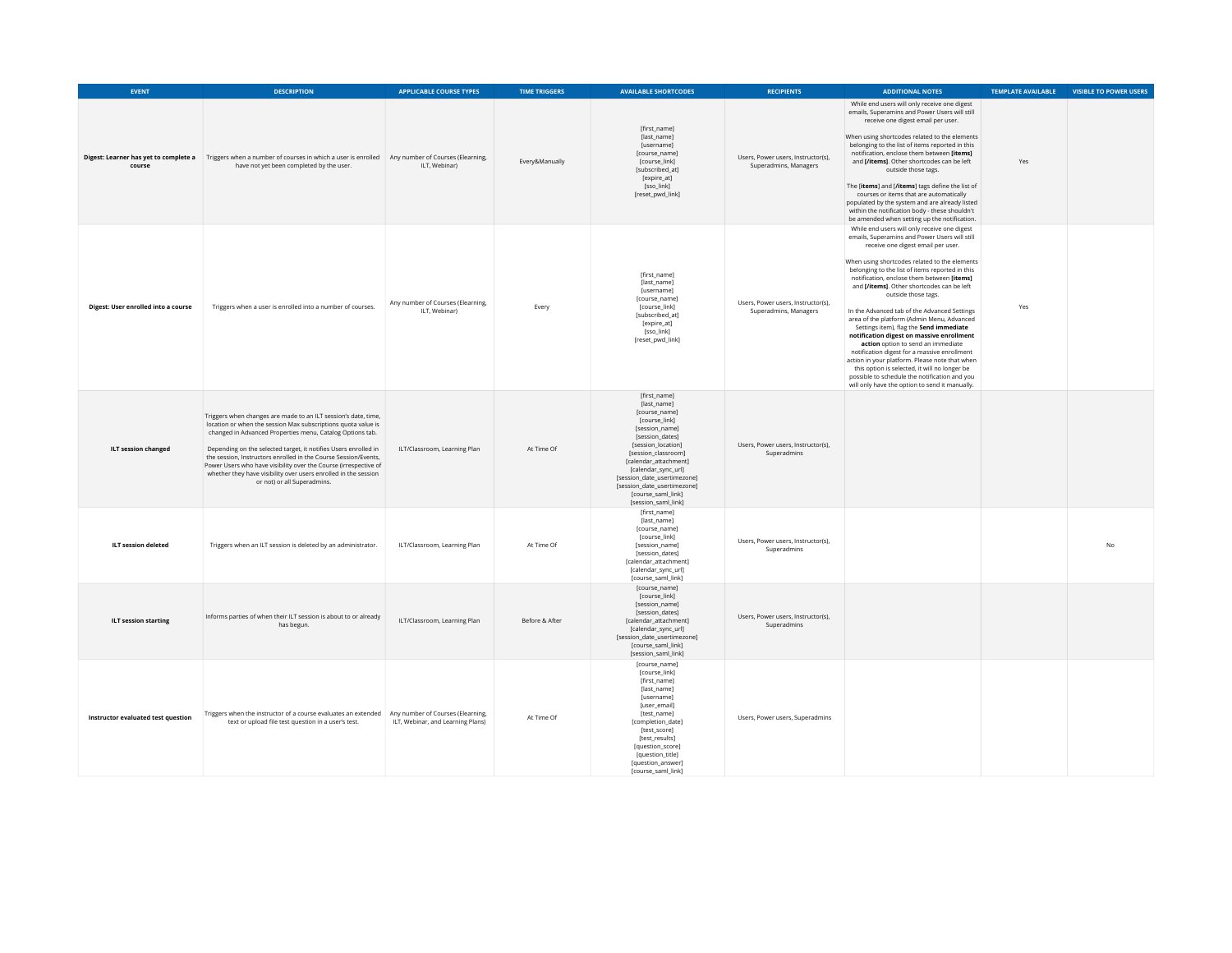| <b>EVENT</b>                        | <b>DESCRIPTION</b>                                                                                                                                                                                                                                                                                                                                                                                                                                                                                       | <b>APPLICABLE COURSE TYPES</b>                                         | <b>TIME TRIGGERS</b> | <b>AVAILABLE SHORTCODES</b>                                                                                                                                                                                                                                                                                       | <b>RECIPIENTS</b>                                           | <b>ADDITIONAL NOTES</b>                                                                                                                                                                                                                                                                                                                                                                                                                                                                                                                                                                                                                                                                                                                                                                                                                      | <b>TEMPLATE AVAILABLE</b> | <b>VISIBLE TO POWER USERS</b> |
|-------------------------------------|----------------------------------------------------------------------------------------------------------------------------------------------------------------------------------------------------------------------------------------------------------------------------------------------------------------------------------------------------------------------------------------------------------------------------------------------------------------------------------------------------------|------------------------------------------------------------------------|----------------------|-------------------------------------------------------------------------------------------------------------------------------------------------------------------------------------------------------------------------------------------------------------------------------------------------------------------|-------------------------------------------------------------|----------------------------------------------------------------------------------------------------------------------------------------------------------------------------------------------------------------------------------------------------------------------------------------------------------------------------------------------------------------------------------------------------------------------------------------------------------------------------------------------------------------------------------------------------------------------------------------------------------------------------------------------------------------------------------------------------------------------------------------------------------------------------------------------------------------------------------------------|---------------------------|-------------------------------|
| course                              | Digest: Learner has yet to complete a Triggers when a number of courses in which a user is enrolled Any number of Courses (Elearning,<br>have not yet been completed by the user.                                                                                                                                                                                                                                                                                                                        | ILT, Webinar)                                                          | Every&Manually       | [first_name]<br>[last_name]<br>[username]<br>[course_name]<br>[course_link]<br>[subscribed_at]<br>[expire_at]<br>[sso_link]<br>[reset_pwd_link]                                                                                                                                                                   | Users, Power users, Instructor(s),<br>Superadmins, Managers | While end users will only receive one digest<br>emails, Superamins and Power Users will still<br>receive one digest email per user.<br>When using shortcodes related to the elements<br>belonging to the list of items reported in this<br>notification, enclose them between [items]<br>and [/items]. Other shortcodes can be left<br>outside those tags.<br>The [items] and [/items] tags define the list of<br>courses or items that are automatically<br>populated by the system and are already listed<br>within the notification body - these shouldn't<br>be amended when setting up the notification.                                                                                                                                                                                                                                | Yes                       |                               |
| Digest: User enrolled into a course | Triggers when a user is enrolled into a number of courses.                                                                                                                                                                                                                                                                                                                                                                                                                                               | Any number of Courses (Elearning,<br>ILT, Webinar)                     | Every                | [first_name]<br>[last_name]<br>[username]<br>[course_name]<br>[course_link]<br>[subscribed_at]<br>[expire_at]<br>[sso_link]<br>[reset_pwd_link]                                                                                                                                                                   | Users, Power users, Instructor(s),<br>Superadmins, Managers | While end users will only receive one digest<br>emails, Superamins and Power Users will still<br>receive one digest email per user.<br>When using shortcodes related to the elements<br>belonging to the list of items reported in this<br>notification, enclose them between [items]<br>and [/items]. Other shortcodes can be left<br>outside those tags.<br>In the Advanced tab of the Advanced Settings<br>area of the platform (Admin Menu, Advanced<br>Settings item), flag the Send immediate<br>notification digest on massive enrollment<br>action option to send an immediate<br>notification digest for a massive enrollment<br>action in your platform. Please note that when<br>this option is selected, it will no longer be<br>possible to schedule the notification and you<br>will only have the option to send it manually. | Yes                       |                               |
| <b>ILT session changed</b>          | Triggers when changes are made to an ILT session's date, time,<br>location or when the session Max subscriptions quota value is<br>changed in Advanced Properties menu, Catalog Options tab.<br>Depending on the selected target, it notifies Users enrolled in<br>the session, Instructors enrolled in the Course Session/Events,<br>Power Users who have visibility over the Course (irrespective of<br>whether they have visibility over users enrolled in the session<br>or not) or all Superadmins. | ILT/Classroom, Learning Plan                                           | At Time Of           | [first_name]<br>[last_name]<br>[course_name]<br>[course_link]<br>[session name]<br>[session_dates]<br><b>Isession location1</b><br>[session_classroom]<br>[calendar attachment]<br>[calendar_sync_url]<br>[session_date_usertimezone]<br>[session date usertimezone]<br>[course_saml_link]<br>[session_saml_link] | Users, Power users, Instructor(s),<br>Superadmins           |                                                                                                                                                                                                                                                                                                                                                                                                                                                                                                                                                                                                                                                                                                                                                                                                                                              |                           |                               |
| <b>ILT session deleted</b>          | Triggers when an ILT session is deleted by an administrator.                                                                                                                                                                                                                                                                                                                                                                                                                                             | ILT/Classroom, Learning Plan                                           | At Time Of           | [first_name]<br>[last_name]<br>[course_name]<br>[course_link]<br>[session_name]<br>[session dates]<br>[calendar_attachment]<br>[calendar_sync_url]<br>[course_saml_link]                                                                                                                                          | Users, Power users, Instructor(s),<br>Superadmins           |                                                                                                                                                                                                                                                                                                                                                                                                                                                                                                                                                                                                                                                                                                                                                                                                                                              |                           | N <sub>0</sub>                |
| <b>ILT session starting</b>         | Informs parties of when their ILT session is about to or already<br>has begun.                                                                                                                                                                                                                                                                                                                                                                                                                           | ILT/Classroom, Learning Plan                                           | Before & After       | [course_name]<br>[course_link]<br>[session name]<br>[session_dates]<br>[calendar_attachment]<br>[calendar_sync_url]<br>[session_date_usertimezone]<br>[course_saml_link]<br>[session_saml_link]                                                                                                                   | Users, Power users, Instructor(s),<br>Superadmins           |                                                                                                                                                                                                                                                                                                                                                                                                                                                                                                                                                                                                                                                                                                                                                                                                                                              |                           |                               |
| Instructor evaluated test question  | Triggers when the instructor of a course evaluates an extended<br>text or upload file test question in a user's test.                                                                                                                                                                                                                                                                                                                                                                                    | Any number of Courses (Elearning,<br>ILT, Webinar, and Learning Plans) | At Time Of           | [course_name]<br>[course_link]<br>[first_name]<br>[last_name]<br>[username]<br>[user_email]<br>[test_name]<br>[completion_date]<br>[test_score]<br>[test_results]<br>[question_score]<br>[question_title]<br>[question_answer]<br>[course_saml_link]                                                              | Users, Power users, Superadmins                             |                                                                                                                                                                                                                                                                                                                                                                                                                                                                                                                                                                                                                                                                                                                                                                                                                                              |                           |                               |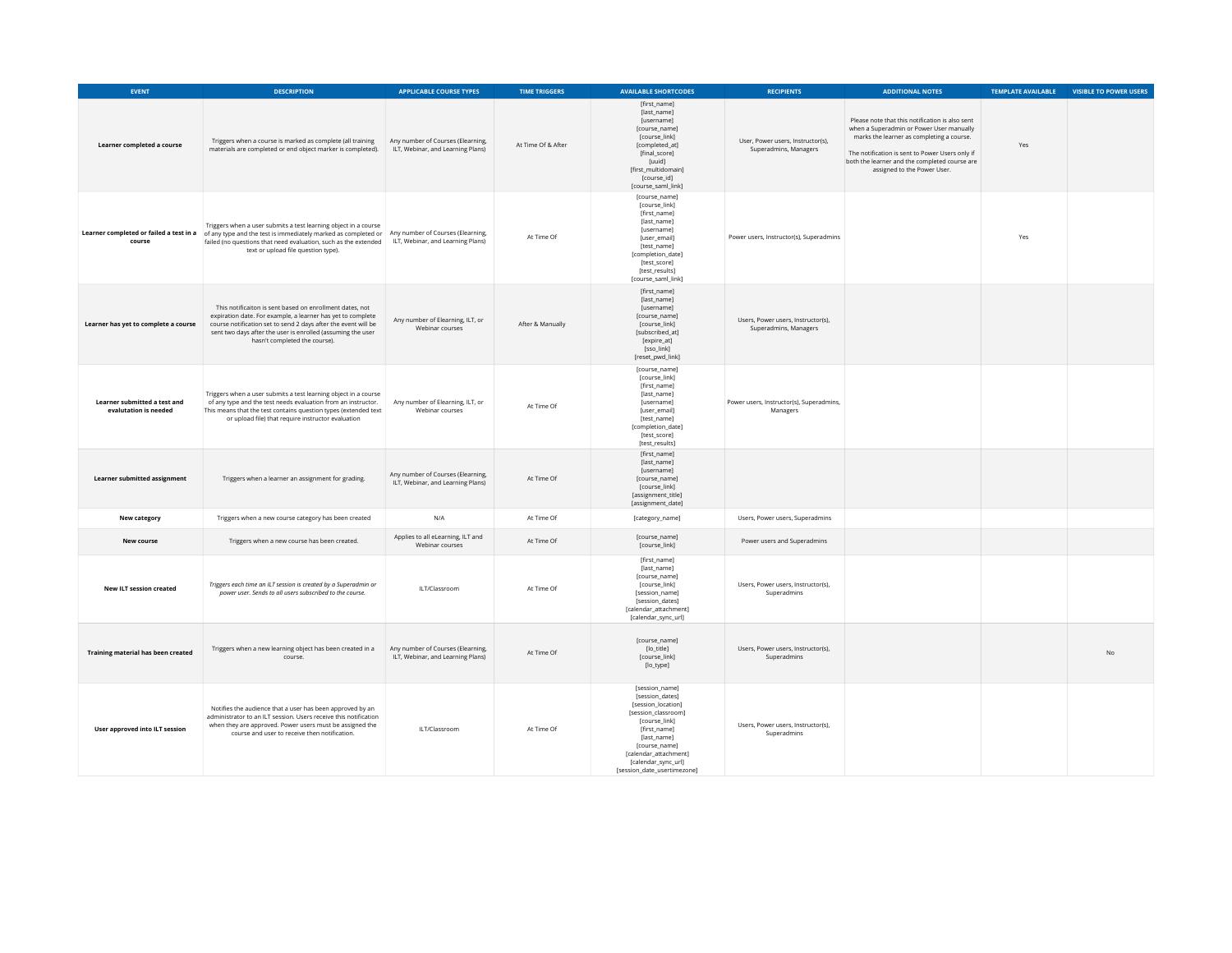| <b>EVENT</b>                                          | <b>DESCRIPTION</b>                                                                                                                                                                                                                                                                        | <b>APPLICABLE COURSE TYPES</b>                                         | <b>TIME TRIGGERS</b> | <b>AVAILABLE SHORTCODES</b>                                                                                                                                                                                                    | <b>RECIPIENTS</b>                                           | <b>ADDITIONAL NOTES</b>                                                                                                                                                                                                                                                     | <b>TEMPLATE AVAILABLE</b> | <b>VISIBLE TO POWER USERS</b> |
|-------------------------------------------------------|-------------------------------------------------------------------------------------------------------------------------------------------------------------------------------------------------------------------------------------------------------------------------------------------|------------------------------------------------------------------------|----------------------|--------------------------------------------------------------------------------------------------------------------------------------------------------------------------------------------------------------------------------|-------------------------------------------------------------|-----------------------------------------------------------------------------------------------------------------------------------------------------------------------------------------------------------------------------------------------------------------------------|---------------------------|-------------------------------|
| Learner completed a course                            | Triggers when a course is marked as complete (all training<br>materials are completed or end object marker is completed).                                                                                                                                                                 | Any number of Courses (Elearning,<br>ILT, Webinar, and Learning Plans) | At Time Of & After   | [first_name]<br>[last_name]<br>[username]<br>[course_name]<br>[course_link]<br>[completed_at]<br>[final_score]<br><b>fuuid1</b><br>[first_multidomain]<br>fcourse idl<br>[course_saml_link]                                    | User, Power users, Instructor(s),<br>Superadmins, Managers  | Please note that this notification is also sent<br>when a Superadmin or Power User manually<br>marks the learner as completing a course.<br>The notification is sent to Power Users only if<br>both the learner and the completed course are<br>assigned to the Power User. | Yes                       |                               |
| Learner completed or failed a test in a<br>course     | Triggers when a user submits a test learning object in a course<br>of any type and the test is immediately marked as completed or Any number of Courses (Elearning,<br>failed (no questions that need evaluation, such as the extended<br>text or upload file question type).             | ILT, Webinar, and Learning Plans)                                      | At Time Of           | [course_name]<br>[course_link]<br>[first_name]<br>[last_name]<br>[username]<br>[user_email]<br>[test_name]<br>fcompletion datel<br>[test_score]<br>[test_results]<br>[course_saml_link]                                        | Power users, Instructor(s), Superadmins                     |                                                                                                                                                                                                                                                                             | Yes                       |                               |
| Learner has yet to complete a course                  | This notificaiton is sent based on enrollment dates, not<br>expiration date. For example, a learner has yet to complete<br>course notification set to send 2 days after the event will be<br>sent two days after the user is enrolled (assuming the user<br>hasn't completed the course). | Any number of Elearning, ILT, or<br>Webinar courses                    | After & Manually     | [first_name]<br>[last_name]<br>fusernamel<br>[course_name]<br>[course_link]<br>[subscribed_at]<br>[expire_at]<br>[sso_link]<br>[reset_pwd_link]                                                                                | Users, Power users, Instructor(s),<br>Superadmins, Managers |                                                                                                                                                                                                                                                                             |                           |                               |
| Learner submitted a test and<br>evalutation is needed | Triggers when a user submits a test learning object in a course<br>of any type and the test needs evaluation from an instructor.<br>This means that the test contains question types (extended text<br>or upload file) that require instructor evaluation                                 | Any number of Elearning, ILT, or<br>Webinar courses                    | At Time Of           | [course_name]<br>[course_link]<br>[first_name]<br>[last_name]<br>[username]<br>[user_email]<br>[test_name]<br>[completion_date]<br>[test_score]<br>[test_results]                                                              | Power users, Instructor(s), Superadmins,<br>Managers        |                                                                                                                                                                                                                                                                             |                           |                               |
| Learner submitted assignment                          | Triggers when a learner an assignment for grading.                                                                                                                                                                                                                                        | Any number of Courses (Elearning,<br>ILT, Webinar, and Learning Plans) | At Time Of           | [first_name]<br>[last_name]<br>[username]<br>[course_name]<br>[course_link]<br>[assignment title]<br>[assignment_date]                                                                                                         |                                                             |                                                                                                                                                                                                                                                                             |                           |                               |
| New category                                          | Triggers when a new course category has been created                                                                                                                                                                                                                                      | N/A                                                                    | At Time Of           | [category_name]                                                                                                                                                                                                                | Users, Power users, Superadmins                             |                                                                                                                                                                                                                                                                             |                           |                               |
| New course                                            | Triggers when a new course has been created.                                                                                                                                                                                                                                              | Applies to all eLearning, ILT and<br>Webinar courses                   | At Time Of           | [course_name]<br>[course_link]                                                                                                                                                                                                 | Power users and Superadmins                                 |                                                                                                                                                                                                                                                                             |                           |                               |
| <b>New ILT session created</b>                        | Triggers each time an ILT session is created by a Superadmin or<br>power user. Sends to all users subscribed to the course.                                                                                                                                                               | ILT/Classroom                                                          | At Time Of           | [first_name]<br>[last_name]<br>[course_name]<br>[course_link]<br>[session_name]<br>[session_dates]<br>[calendar_attachment]<br>[calendar_sync_url]                                                                             | Users, Power users, Instructor(s),<br>Superadmins           |                                                                                                                                                                                                                                                                             |                           |                               |
| Training material has been created                    | Triggers when a new learning object has been created in a<br>course.                                                                                                                                                                                                                      | Any number of Courses (Elearning,<br>ILT, Webinar, and Learning Plans) | At Time Of           | [course_name]<br>[lo_title]<br>[course_link]<br>[lo_type]                                                                                                                                                                      | Users, Power users, Instructor(s),<br>Superadmins           |                                                                                                                                                                                                                                                                             |                           | <b>No</b>                     |
| <b>User approved into ILT session</b>                 | Notifies the audience that a user has been approved by an<br>administrator to an ILT session. Users receive this notification<br>when they are approved. Power users must be assigned the<br>course and user to receive then notification.                                                | ILT/Classroom                                                          | At Time Of           | [session_name]<br>[session dates]<br>[session_location]<br>[session_classroom]<br>[course_link]<br>[first_name]<br>[last_name]<br>[course_name]<br>[calendar_attachment]<br>[calendar_sync_url]<br>[session_date_usertimezone] | Users, Power users, Instructor(s),<br>Superadmins           |                                                                                                                                                                                                                                                                             |                           |                               |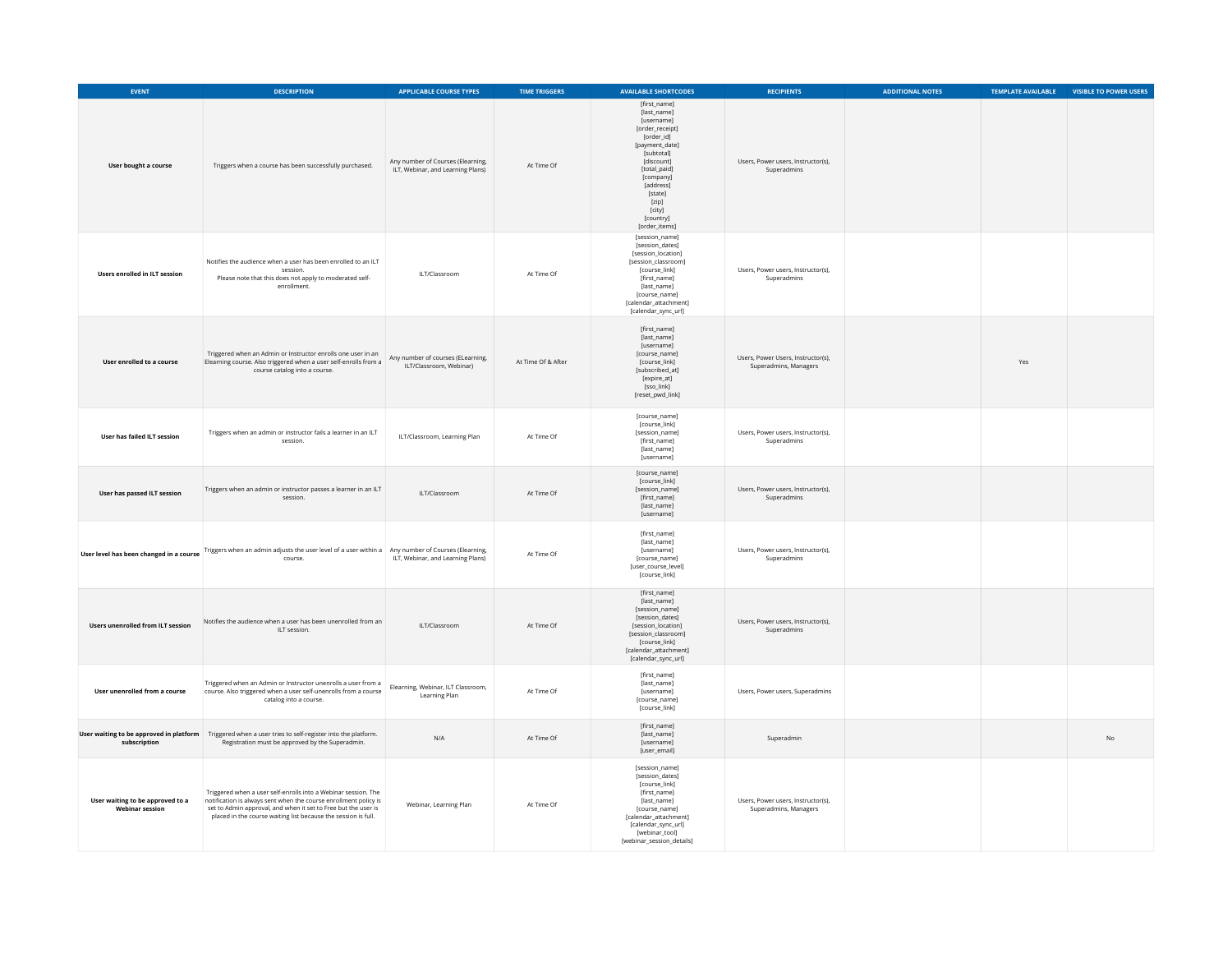| EVENT                                                      | <b>DESCRIPTION</b>                                                                                                                                                                                                                                                     | <b>APPLICABLE COURSE TYPES</b>                                         | <b>TIME TRIGGERS</b> | <b>AVAILABLE SHORTCODES</b>                                                                                                                                                                                                    | <b>RECIPIENTS</b>                                           | <b>ADDITIONAL NOTES</b> | <b>TEMPLATE AVAILABLE</b> | VISIBLE TO POWER USERS |
|------------------------------------------------------------|------------------------------------------------------------------------------------------------------------------------------------------------------------------------------------------------------------------------------------------------------------------------|------------------------------------------------------------------------|----------------------|--------------------------------------------------------------------------------------------------------------------------------------------------------------------------------------------------------------------------------|-------------------------------------------------------------|-------------------------|---------------------------|------------------------|
| User bought a course                                       | Triggers when a course has been successfully purchased.                                                                                                                                                                                                                | Any number of Courses (Elearning,<br>ILT, Webinar, and Learning Plans) | At Time Of           | [first_name]<br>[last_name]<br>[username]<br>[order_receipt]<br>[order_id]<br>[payment_date]<br>[subtotal]<br>[discount]<br>[total_paid]<br>[company]<br>[address]<br>[state]<br>[zip]<br>[city]<br>[country]<br>[order_items] | Users, Power users, Instructor(s),<br>Superadmins           |                         |                           |                        |
| <b>Users enrolled in ILT session</b>                       | Notifies the audience when a user has been enrolled to an ILT<br>session<br>Please note that this does not apply to moderated self-<br>enrollment.                                                                                                                     | ILT/Classroom                                                          | At Time Of           | [session_name]<br>[session_dates]<br>[session_location]<br>[session_classroom]<br>[course_link]<br>[first_name]<br>[last_name]<br>[course_name]<br>[calendar attachment]<br>[calendar_sync_url]                                | Users, Power users, Instructor(s),<br>Superadmins           |                         |                           |                        |
| User enrolled to a course                                  | Triggered when an Admin or Instructor enrolls one user in an<br>Elearning course. Also triggered when a user self-enrolls from a<br>course catalog into a course.                                                                                                      | Any number of courses (ELearning,<br>ILT/Classroom, Webinar)           | At Time Of & After   | [first_name]<br>[last_name]<br>[username]<br>[course_name]<br>[course_link]<br>[subscribed_at]<br>[expire_at]<br>[sso_link]<br>[reset_pwd_link]                                                                                | Users, Power Users, Instructor(s),<br>Superadmins, Managers |                         | Yes                       |                        |
| User has failed ILT session                                | Triggers when an admin or instructor fails a learner in an ILT<br>session.                                                                                                                                                                                             | ILT/Classroom, Learning Plan                                           | At Time Of           | [course_name]<br>[course_link]<br>[session_name]<br>[first_name]<br>[last_name]<br>[username]                                                                                                                                  | Users, Power users, Instructor(s),<br>Superadmins           |                         |                           |                        |
| User has passed ILT session                                | Triggers when an admin or instructor passes a learner in an ILT<br>session.                                                                                                                                                                                            | ILT/Classroom                                                          | At Time Of           | [course_name]<br>[course_link]<br>[session_name]<br>[first_name]<br>[last_name]<br>[username]                                                                                                                                  | Users, Power users, Instructor(s),<br>Superadmins           |                         |                           |                        |
|                                                            | User level has been changed in a course Triggers when an admin adjusts the user level of a user within a Any number of Courses (Elearning,<br>course.                                                                                                                  | ILT, Webinar, and Learning Plans)                                      | At Time Of           | [first_name]<br>[last_name]<br>[username]<br>[course_name]<br>[user course level]<br>[course_link]                                                                                                                             | Users, Power users, Instructor(s),<br>Superadmins           |                         |                           |                        |
| <b>Users unenrolled from ILT session</b>                   | Notifies the audience when a user has been unenrolled from an<br>ILT session.                                                                                                                                                                                          | Il T/Classroom                                                         | At Time Of           | [first_name]<br>[last_name]<br>[session_name]<br>[session dates]<br>[session_location]<br>[session_classroom]<br>[course_link]<br>[calendar_attachment]<br>[calendar_sync_url]                                                 | Users, Power users, Instructor(s),<br>Superadmins           |                         |                           |                        |
| User unenrolled from a course                              | Triggered when an Admin or Instructor unenrolls a user from a<br>course. Also triggered when a user self-unenrolls from a course<br>catalog into a course.                                                                                                             | Elearning, Webinar, ILT Classroom,<br>Learning Plan                    | At Time Of           | [first_name]<br>[last_name]<br>[username]<br>[course_name]<br>[course_link]                                                                                                                                                    | Users, Power users, Superadmins                             |                         |                           |                        |
| subscription                                               | User waiting to be approved in platform Triggered when a user tries to self-register into the platform.<br>Registration must be approved by the Superadmin.                                                                                                            | N/A                                                                    | At Time Of           | [first_name]<br>[last_name]<br>[username]<br>[user_email]                                                                                                                                                                      | Superadmin                                                  |                         |                           | <b>No</b>              |
| User waiting to be approved to a<br><b>Webinar session</b> | Triggered when a user self-enrolls into a Webinar session. The<br>notification is always sent when the course enrollment policy is<br>set to Admin approval, and when it set to Free but the user is<br>placed in the course waiting list because the session is full. | Webinar, Learning Plan                                                 | At Time Of           | [session_name]<br>[session_dates]<br>[course_link]<br>[first_name]<br>flast namel<br>[course_name]<br>[calendar_attachment]<br>[calendar_sync_url]<br>[webinar_tool]<br>[webinar_session_details]                              | Users. Power users. Instructor(s).<br>Superadmins, Managers |                         |                           |                        |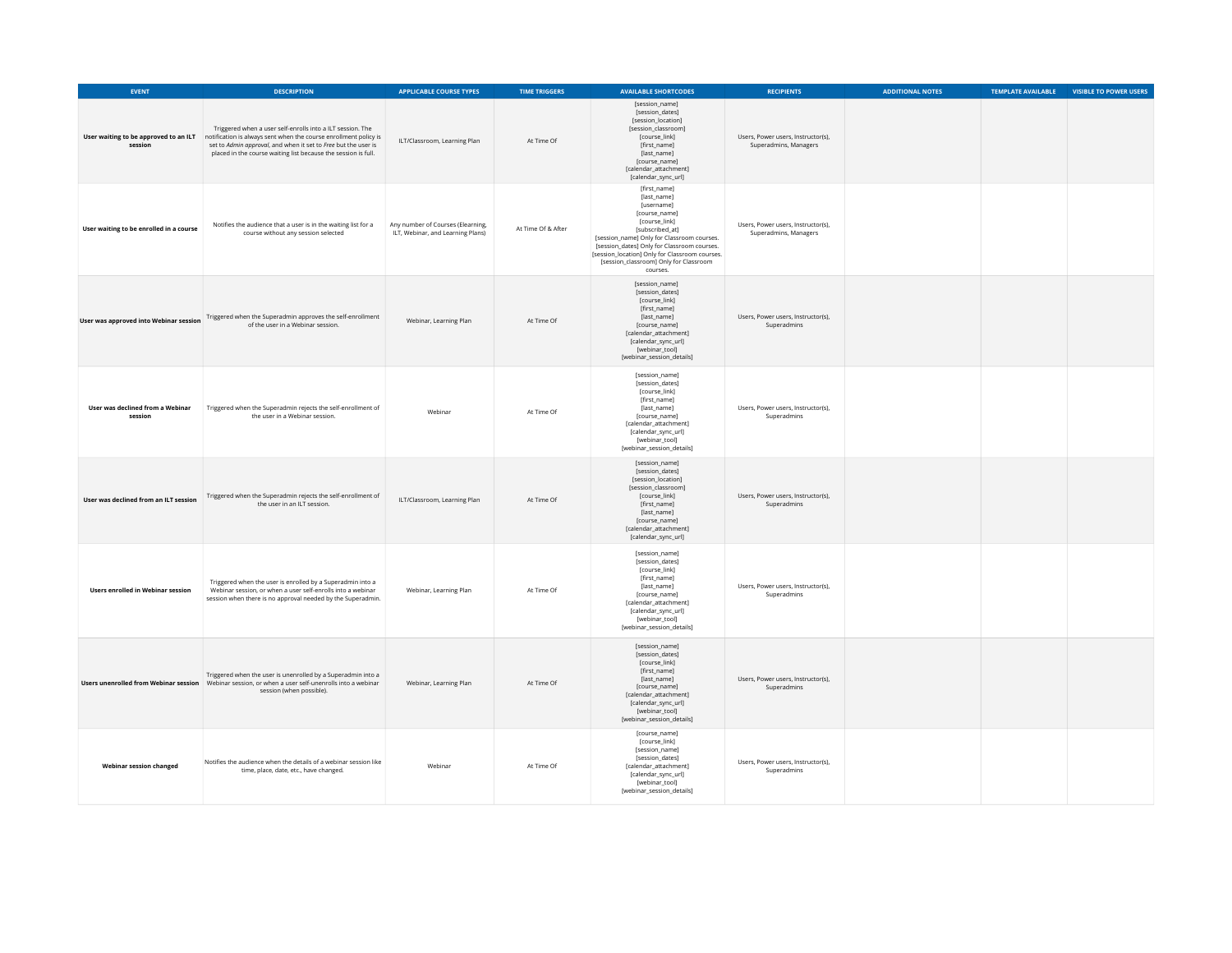| <b>EVENT</b>                                | <b>DESCRIPTION</b>                                                                                                                                                                                                                                                                                       | <b>APPLICABLE COURSE TYPES</b>                                         | <b>TIME TRIGGERS</b> | <b>AVAILABLE SHORTCODES</b>                                                                                                                                                                                                                                                                         | <b>RECIPIENTS</b>                                           | <b>ADDITIONAL NOTES</b> | <b>TEMPLATE AVAILABLE</b> | <b>VISIBLE TO POWER USERS</b> |
|---------------------------------------------|----------------------------------------------------------------------------------------------------------------------------------------------------------------------------------------------------------------------------------------------------------------------------------------------------------|------------------------------------------------------------------------|----------------------|-----------------------------------------------------------------------------------------------------------------------------------------------------------------------------------------------------------------------------------------------------------------------------------------------------|-------------------------------------------------------------|-------------------------|---------------------------|-------------------------------|
| session                                     | Triggered when a user self-enrolls into a ILT session. The<br>User waiting to be approved to an ILT notification is always sent when the course enrollment policy is<br>set to Admin approval, and when it set to Free but the user is<br>placed in the course waiting list because the session is full. | ILT/Classroom, Learning Plan                                           | At Time Of           | [session_name]<br>[session_dates]<br>[session_location]<br>[session_classroom]<br>[course_link]<br>[first_name]<br>[last name]<br>[course_name]<br>[calendar attachment]<br>[calendar_sync_url]                                                                                                     | Users, Power users, Instructor(s),<br>Superadmins, Managers |                         |                           |                               |
| User waiting to be enrolled in a course     | Notifies the audience that a user is in the waiting list for a<br>course without any session selected                                                                                                                                                                                                    | Any number of Courses (Elearning,<br>ILT, Webinar, and Learning Plans) | At Time Of & After   | [first_name]<br>[last_name]<br>[username]<br>[course_name]<br>[course_link]<br>[subscribed at]<br>[session_name] Only for Classroom courses.<br>[session_dates] Only for Classroom courses.<br>[session_location] Only for Classroom courses.<br>[session_classroom] Only for Classroom<br>courses. | Users, Power users, Instructor(s),<br>Superadmins, Managers |                         |                           |                               |
| User was approved into Webinar session      | Triggered when the Superadmin approves the self-enrollment<br>of the user in a Webinar session.                                                                                                                                                                                                          | Webinar, Learning Plan                                                 | At Time Of           | [session_name]<br>[session dates]<br>[course_link]<br>[first_name]<br>[last_name]<br>[course_name]<br>[calendar_attachment]<br>[calendar_sync_url]<br>[webinar_tool]<br>[webinar_session_details]                                                                                                   | Users, Power users, Instructor(s),<br>Superadmins           |                         |                           |                               |
| User was declined from a Webinar<br>session | Triggered when the Superadmin rejects the self-enrollment of<br>the user in a Webinar session.                                                                                                                                                                                                           | Webinar                                                                | At Time Of           | [session_name]<br>[session_dates]<br>[course_link]<br>[first_name]<br>[last_name]<br>[course_name]<br>[calendar_attachment]<br>[calendar_sync_url]<br>[webinar_tool]<br>[webinar_session_details]                                                                                                   | Users, Power users, Instructor(s),<br>Superadmins           |                         |                           |                               |
| User was declined from an ILT session       | Triggered when the Superadmin rejects the self-enrollment of<br>the user in an ILT session.                                                                                                                                                                                                              | ILT/Classroom, Learning Plan                                           | At Time Of           | [session_name]<br>[session_dates]<br>[session_location]<br>[session_classroom]<br>[course link]<br>[first_name]<br>[last_name]<br>[course_name]<br>[calendar_attachment]<br>[calendar_sync_url]                                                                                                     | Users, Power users, Instructor(s),<br>Superadmins           |                         |                           |                               |
| <b>Users enrolled in Webinar session</b>    | Triggered when the user is enrolled by a Superadmin into a<br>Webinar session, or when a user self-enrolls into a webinar<br>session when there is no approval needed by the Superadmin.                                                                                                                 | Webinar, Learning Plan                                                 | At Time Of           | [session name]<br>[session_dates]<br>[course_link]<br>[first_name]<br>[last_name]<br>[course_name]<br>[calendar_attachment]<br>[calendar_sync_url]<br>[webinar_tool]<br>[webinar_session_details]                                                                                                   | Users, Power users, Instructor(s),<br>Superadmins           |                         |                           |                               |
|                                             | Triggered when the user is unenrolled by a Superadmin into a<br>Users unenrolled from Webinar session Webinar session, or when a user self-unenrolls into a webinar<br>session (when possible).                                                                                                          | Webinar, Learning Plan                                                 | At Time Of           | [session_name]<br>[session_dates]<br>[course_link]<br>[first_name]<br>[last_name]<br>[course_name]<br>[calendar_attachment]<br>[calendar_sync_url]<br>[webinar_tool]<br>[webinar session details]                                                                                                   | Users, Power users, Instructor(s),<br>Superadmins           |                         |                           |                               |
| Webinar session changed                     | Notifies the audience when the details of a webinar session like<br>time, place, date, etc., have changed.                                                                                                                                                                                               | Webinar                                                                | At Time Of           | [course_name]<br>[course_link]<br>[session_name]<br>[session dates]<br>[calendar_attachment]<br>[calendar_sync_url]<br>[webinar_tool]<br>[webinar_session_details]                                                                                                                                  | Users, Power users, Instructor(s),<br>Superadmins           |                         |                           |                               |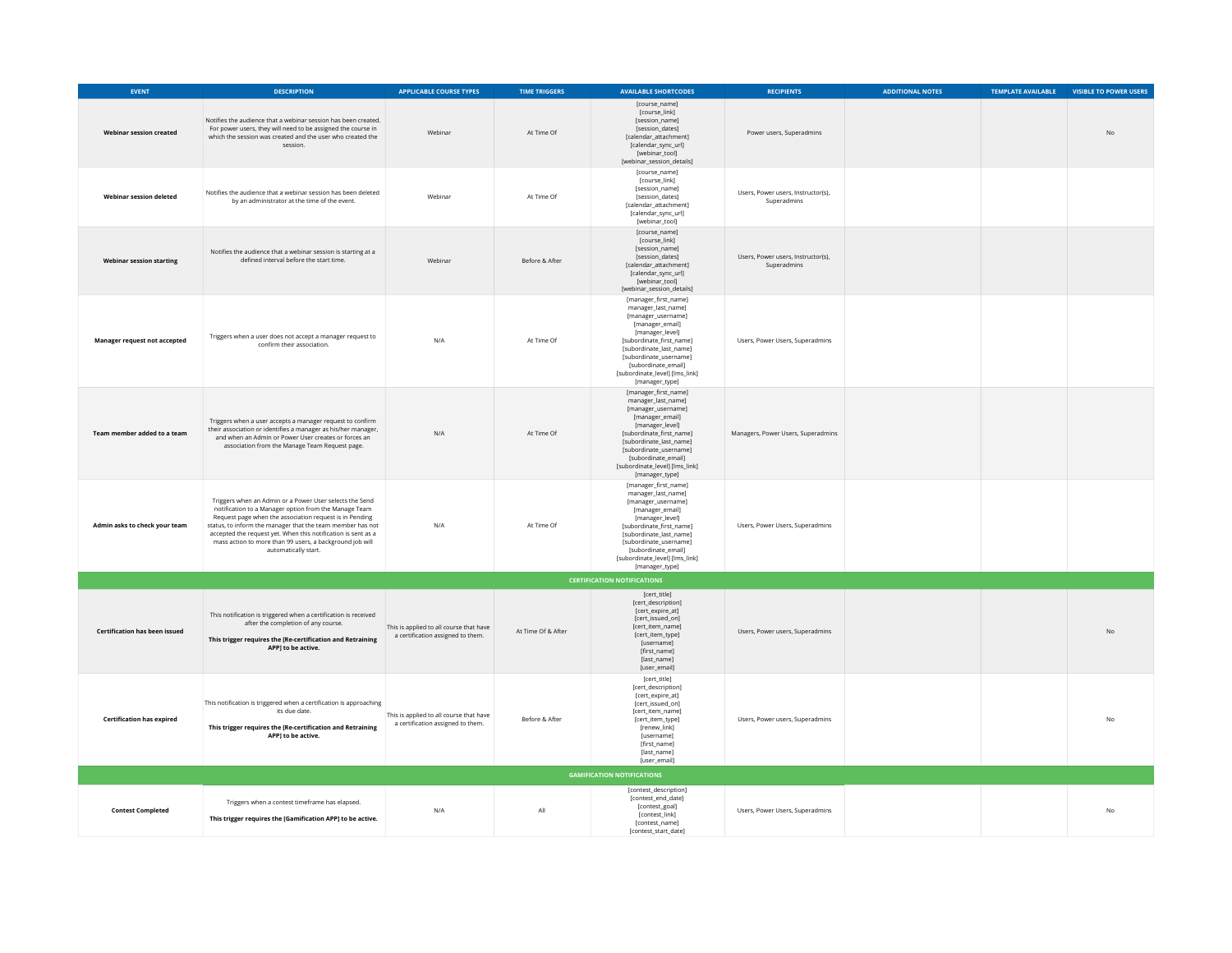| <b>EVENT</b>                         | <b>DESCRIPTION</b>                                                                                                                                                                                                                                                                                                                                                                             | <b>APPLICABLE COURSE TYPES</b>                                               | <b>TIME TRIGGERS</b> | <b>AVAILABLE SHORTCODES</b>                                                                                                                                                                                                                                        | <b>RECIPIENTS</b>                                 | <b>ADDITIONAL NOTES</b> | TEMPLATE AVAILABLE | <b>VISIBLE TO POWER USERS</b> |  |  |
|--------------------------------------|------------------------------------------------------------------------------------------------------------------------------------------------------------------------------------------------------------------------------------------------------------------------------------------------------------------------------------------------------------------------------------------------|------------------------------------------------------------------------------|----------------------|--------------------------------------------------------------------------------------------------------------------------------------------------------------------------------------------------------------------------------------------------------------------|---------------------------------------------------|-------------------------|--------------------|-------------------------------|--|--|
| <b>Webinar session created</b>       | Notifies the audience that a webinar session has been created.<br>For power users, they will need to be assigned the course in<br>which the session was created and the user who created the<br>session.                                                                                                                                                                                       | Webinar                                                                      | At Time Of           | [course_name]<br>[course_link]<br>[session name]<br>[session_dates]<br>[calendar_attachment]<br>[calendar_sync_url]<br>[webinar_tool]<br>[webinar_session_details]                                                                                                 | Power users, Superadmins                          |                         |                    | <b>No</b>                     |  |  |
| Webinar session deleted              | Notifies the audience that a webinar session has been deleted<br>by an administrator at the time of the event.                                                                                                                                                                                                                                                                                 | Webinar                                                                      | At Time Of           | [course_name]<br>[course_link]<br>[session_name]<br>[session_dates]<br>[calendar_attachment]<br>[calendar_sync_url]<br>[webinar_tool]                                                                                                                              | Users, Power users, Instructor(s),<br>Superadmins |                         |                    |                               |  |  |
| <b>Webinar session starting</b>      | Notifies the audience that a webinar session is starting at a<br>defined interval before the start time.                                                                                                                                                                                                                                                                                       | Webinar                                                                      | Before & After       | [course_name]<br>[course_link]<br>[session_name]<br>[session_dates]<br>[calendar_attachment]<br>[calendar_sync_url]<br>[webinar_tool]<br>[webinar_session_details]                                                                                                 | Users, Power users, Instructor(s),<br>Superadmins |                         |                    |                               |  |  |
| Manager request not accepted         | Triggers when a user does not accept a manager request to<br>confirm their association.                                                                                                                                                                                                                                                                                                        | N/A                                                                          | At Time Of           | [manager_first_name]<br>manager_last_name]<br>[manager_username]<br>[manager_email]<br>[manager_level]<br>[subordinate_first_name]<br>[subordinate_last_name]<br>[subordinate_username]<br>[subordinate email]<br>[subordinate_level] [lms_link]<br>[manager_type] | Users, Power Users, Superadmins                   |                         |                    |                               |  |  |
| Team member added to a team          | Triggers when a user accepts a manager request to confirm<br>their association or identifies a manager as his/her manager,<br>and when an Admin or Power User creates or forces an<br>association from the Manage Team Request page.                                                                                                                                                           | N/A                                                                          | At Time Of           | [manager_first_name]<br>manager_last_name]<br>[manager_username]<br>[manager_email]<br>[manager level]<br>[subordinate_first_name]<br>[subordinate_last_name]<br>[subordinate_username]<br>[subordinate_email]<br>[subordinate_level] [lms_link]<br>[manager_type] | Managers, Power Users, Superadmins                |                         |                    |                               |  |  |
| Admin asks to check your team        | Triggers when an Admin or a Power User selects the Send<br>notification to a Manager option from the Manage Team<br>Request page when the association request is in Pending<br>status, to inform the manager that the team member has not<br>accepted the request yet. When this notification is sent as a<br>mass action to more than 99 users, a background job will<br>automatically start. | N/A                                                                          | At Time Of           | [manager_first_name]<br>manager_last_name]<br>[manager_username]<br>[manager_email]<br>[manager_level]<br>[subordinate_first_name]<br>[subordinate_last_name]<br>fsubordinate usernamel<br>[subordinate email]<br>[subordinate_level] [lms_link]<br>[manager_type] | Users, Power Users, Superadmins                   |                         |                    |                               |  |  |
|                                      |                                                                                                                                                                                                                                                                                                                                                                                                |                                                                              |                      | <b>CERTIFICATION NOTIFICATIONS</b>                                                                                                                                                                                                                                 |                                                   |                         |                    |                               |  |  |
| <b>Certification has been issued</b> | This notification is triggered when a certification is received<br>after the completion of any course.<br>This trigger requires the [Re-certification and Retraining<br>APP] to be active.                                                                                                                                                                                                     | This is applied to all course that have<br>a certification assigned to them. | At Time Of & After   | [cert_title]<br>[cert_description]<br>[cert_expire_at]<br>[cert_issued_on]<br>[cert_item_name]<br>[cert_item_type]<br><b>fusernamel</b><br>[first_name]<br>[last_name]<br>[user_email]                                                                             | Users, Power users, Superadmins                   |                         |                    | <b>No</b>                     |  |  |
| <b>Certification has expired</b>     | This notification is triggered when a certification is approaching<br>its due date.<br>This trigger requires the [Re-certification and Retraining<br>APP] to be active.                                                                                                                                                                                                                        | This is applied to all course that have<br>a certification assigned to them. | Before & After       | [cert_title]<br>[cert_description]<br>[cert_expire_at]<br>[cert_issued_on]<br>[cert_item_name]<br>[cert_item_type]<br>[renew_link]<br>[username]<br>Ifirst namel<br>[last_name]<br>[user_email]                                                                    | Users, Power users, Superadmins                   |                         |                    | No                            |  |  |
| <b>GAMIFICATION NOTIFICATIONS</b>    |                                                                                                                                                                                                                                                                                                                                                                                                |                                                                              |                      |                                                                                                                                                                                                                                                                    |                                                   |                         |                    |                               |  |  |
| <b>Contest Completed</b>             | Triggers when a contest timeframe has elapsed.<br>This trigger requires the [Gamification APP] to be active.                                                                                                                                                                                                                                                                                   | N/A                                                                          | All                  | [contest_description]<br>[contest_end_date]<br>[contest_goal]<br>[contest_link]<br>[contest_name]<br>[contest_start_date]                                                                                                                                          | Users, Power Users, Superadmins                   |                         |                    | <b>No</b>                     |  |  |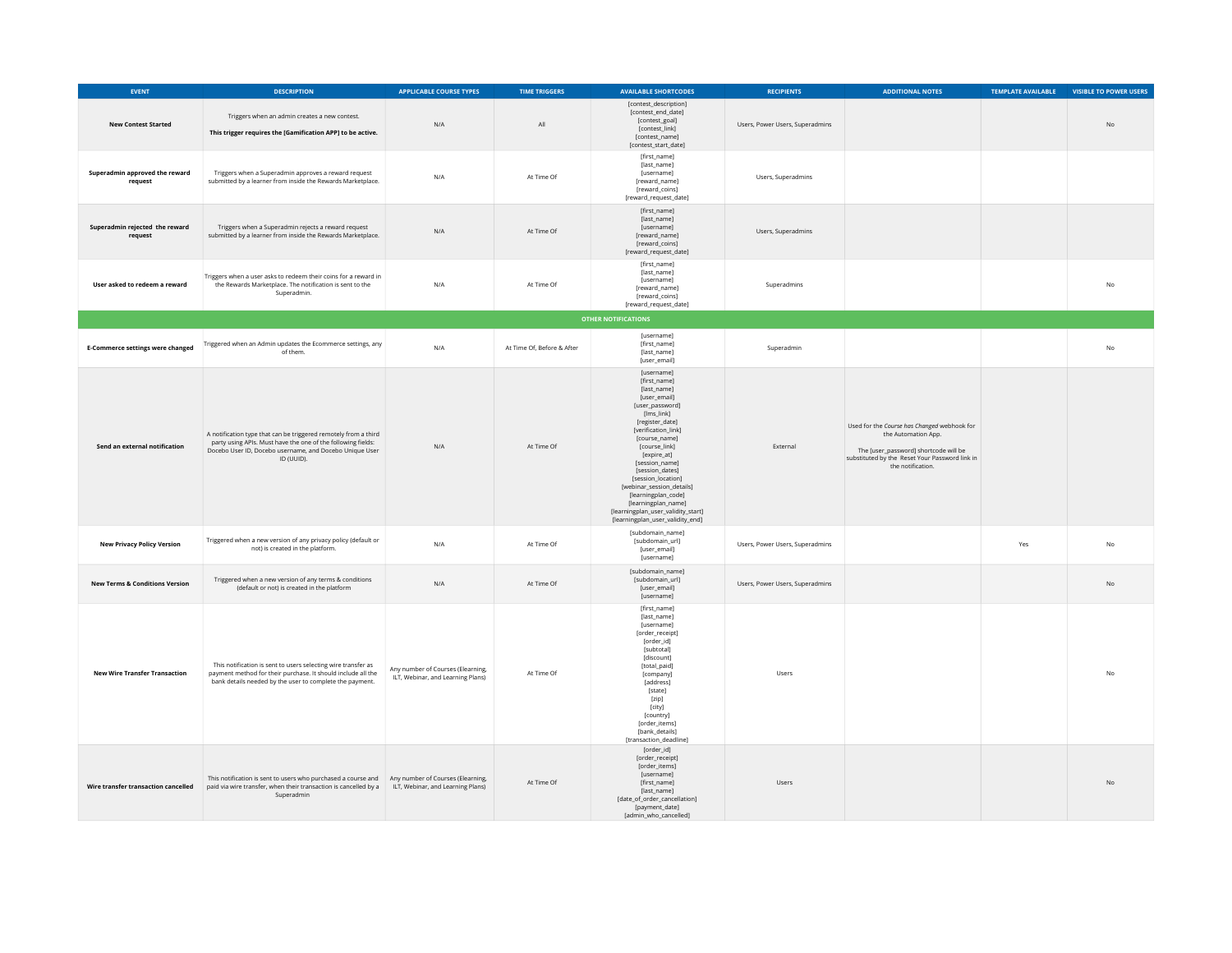| <b>EVENT</b>                              | <b>DESCRIPTION</b>                                                                                                                                                                                       | <b>APPLICABLE COURSE TYPES</b>                                         | <b>TIME TRIGGERS</b>       | <b>AVAILABLE SHORTCODES</b>                                                                                                                                                                                                                                                                                                                                                                           | <b>RECIPIENTS</b>               | <b>ADDITIONAL NOTES</b>                                                                                                                                                            | TEMPLATE AVAILABLE | <b>VISIBLE TO POWER USERS</b> |
|-------------------------------------------|----------------------------------------------------------------------------------------------------------------------------------------------------------------------------------------------------------|------------------------------------------------------------------------|----------------------------|-------------------------------------------------------------------------------------------------------------------------------------------------------------------------------------------------------------------------------------------------------------------------------------------------------------------------------------------------------------------------------------------------------|---------------------------------|------------------------------------------------------------------------------------------------------------------------------------------------------------------------------------|--------------------|-------------------------------|
| <b>New Contest Started</b>                | Triggers when an admin creates a new contest.<br>This trigger requires the [Gamification APP] to be active.                                                                                              | N/A                                                                    | All                        | [contest_description]<br>[contest end date]<br>[contest_goal]<br>[contest_link]<br>[contest_name]<br>[contest_start_date]                                                                                                                                                                                                                                                                             | Users, Power Users, Superadmins |                                                                                                                                                                                    |                    | N <sub>0</sub>                |
| Superadmin approved the reward<br>request | Triggers when a Superadmin approves a reward request<br>submitted by a learner from inside the Rewards Marketplace.                                                                                      | N/A                                                                    | At Time Of                 | [first_name]<br>[last_name]<br>[username]<br>[reward_name]<br>[reward_coins]<br>[reward_request_date]                                                                                                                                                                                                                                                                                                 | Users, Superadmins              |                                                                                                                                                                                    |                    |                               |
| Superadmin rejected the reward<br>request | Triggers when a Superadmin rejects a reward request<br>submitted by a learner from inside the Rewards Marketplace.                                                                                       | N/A                                                                    | At Time Of                 | [first_name]<br>[last_name]<br>[username]<br>freward namel<br>[reward_coins]<br>[reward_request_date]                                                                                                                                                                                                                                                                                                 | Users, Superadmins              |                                                                                                                                                                                    |                    |                               |
| User asked to redeem a reward             | Triggers when a user asks to redeem their coins for a reward in<br>the Rewards Marketplace. The notification is sent to the<br>Superadmin.                                                               | N/A                                                                    | At Time Of                 | [first_name]<br>[last_name]<br><b>fusernamel</b><br>[reward_name]<br>[reward_coins]<br>[reward_request_date]                                                                                                                                                                                                                                                                                          | Superadmins                     |                                                                                                                                                                                    |                    | <b>No</b>                     |
|                                           |                                                                                                                                                                                                          |                                                                        |                            | <b>OTHER NOTIFICATIONS</b>                                                                                                                                                                                                                                                                                                                                                                            |                                 |                                                                                                                                                                                    |                    |                               |
| <b>E-Commerce settings were changed</b>   | Triggered when an Admin updates the Ecommerce settings, any<br>of them.                                                                                                                                  | N/A                                                                    | At Time Of, Before & After | [username]<br>[first_name]<br>[last_name]<br>[user_email]                                                                                                                                                                                                                                                                                                                                             | Superadmin                      |                                                                                                                                                                                    |                    | No                            |
| Send an external notification             | A notification type that can be triggered remotely from a third<br>party using APIs. Must have the one of the following fields:<br>Docebo User ID, Docebo username, and Docebo Unique User<br>ID (UUID). | N/A                                                                    | At Time Of                 | [username]<br>[first_name]<br>[last_name]<br>[user_email]<br>[user_password]<br>[lms_link]<br>[register_date]<br>[verification link]<br>[course_name]<br>[course_link]<br>[expire_at]<br>[session_name]<br>[session_dates]<br>[session_location]<br>[webinar_session_details]<br>[learningplan_code]<br>[learningplan_name]<br>[learningplan_user_validity_start]<br>[learningplan_user_validity_end] | External                        | Used for the Course has Changed webhook for<br>the Automation App.<br>The [user_password] shortcode will be<br>substituted by the Reset Your Password link in<br>the notification. |                    |                               |
| <b>New Privacy Policy Version</b>         | Triggered when a new version of any privacy policy (default or<br>not) is created in the platform.                                                                                                       | N/A                                                                    | At Time Of                 | [subdomain_name]<br>[subdomain_url]<br>[user_email]<br>[username]                                                                                                                                                                                                                                                                                                                                     | Users, Power Users, Superadmins |                                                                                                                                                                                    | Yes                | $\mathsf{No}$                 |
| <b>New Terms &amp; Conditions Version</b> | Triggered when a new version of any terms & conditions<br>(default or not) is created in the platform                                                                                                    | N/A                                                                    | At Time Of                 | [subdomain_name]<br>[subdomain_url]<br>[user_email]<br>[username]                                                                                                                                                                                                                                                                                                                                     | Users, Power Users, Superadmins |                                                                                                                                                                                    |                    | $\rm No$                      |
| <b>New Wire Transfer Transaction</b>      | This notification is sent to users selecting wire transfer as<br>payment method for their purchase. It should include all the<br>bank details needed by the user to complete the payment.                | Any number of Courses (Elearning,<br>ILT, Webinar, and Learning Plans) | At Time Of                 | [first_name]<br>[last_name]<br>[username]<br>[order_receipt]<br>[order_id]<br>[subtotal]<br>[discount]<br>[total_paid]<br>[company]<br>[address]<br>[state]<br>[zip]<br>[city]<br>[country]<br>forder items]<br>[bank_details]<br>[transaction_deadline]                                                                                                                                              | Users                           |                                                                                                                                                                                    |                    | No                            |
| Wire transfer transaction cancelled       | This notification is sent to users who purchased a course and Any number of Courses (Elearning,<br>paid via wire transfer, when their transaction is cancelled by a<br>Superadmin                        | ILT, Webinar, and Learning Plans)                                      | At Time Of                 | [order_id]<br>[order_receipt]<br>[order_items]<br><b>fusernamel</b><br>[first_name]<br>[last_name]<br>[date_of_order_cancellation]<br>[payment_date]<br>[admin_who_cancelled]                                                                                                                                                                                                                         | Users                           |                                                                                                                                                                                    |                    | <b>No</b>                     |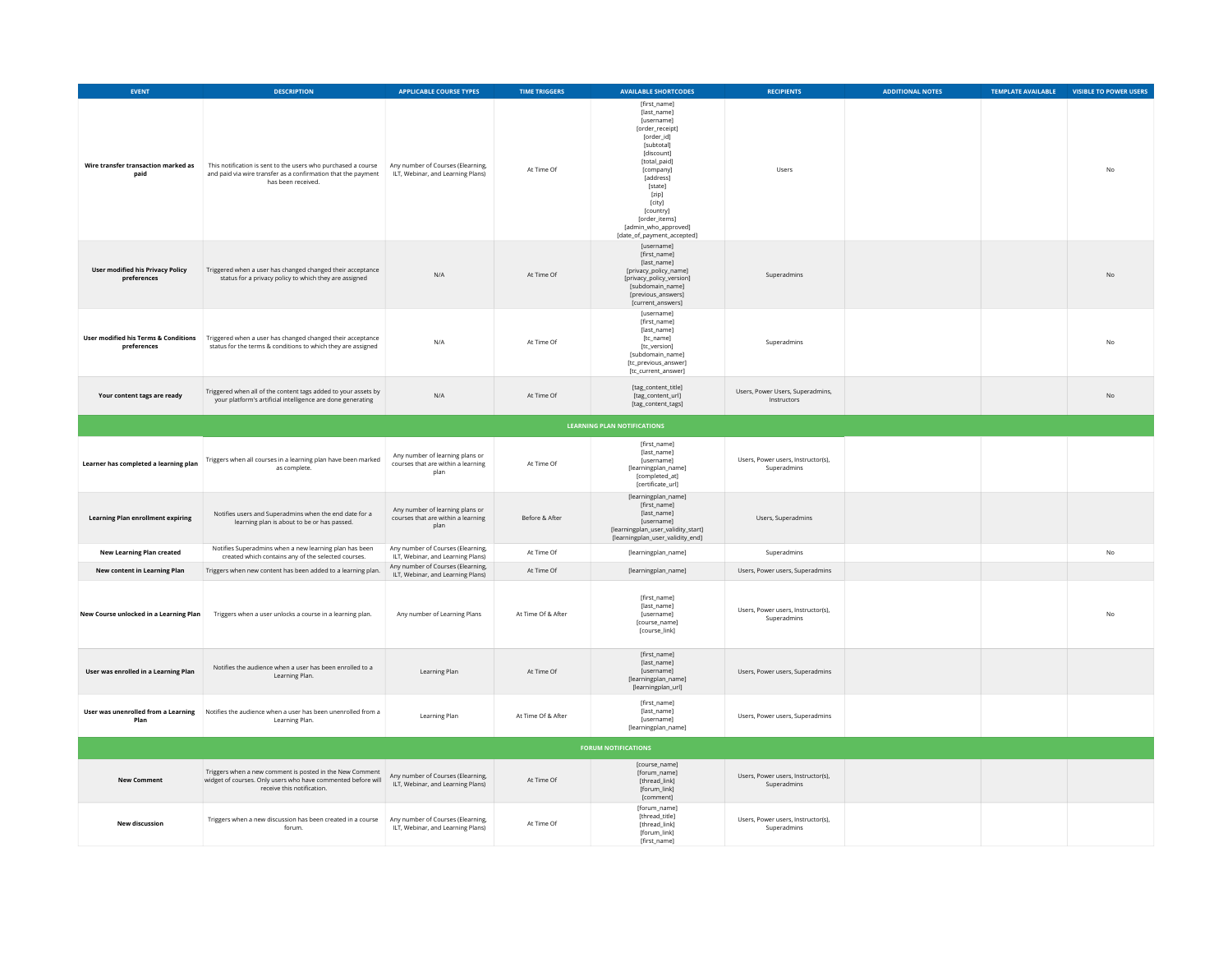| EVENT                                                  | <b>DESCRIPTION</b>                                                                                                                                     | <b>APPLICABLE COURSE TYPES</b>                                                | <b>TIME TRIGGERS</b> | <b>AVAILABLE SHORTCODES</b>                                                                                                                                                                                                                                                      | <b>RECIPIENTS</b>                                 | <b>ADDITIONAL NOTES</b> | <b>TEMPLATE AVAILABLE</b> | VISIBLE TO POWER USERS |  |  |  |
|--------------------------------------------------------|--------------------------------------------------------------------------------------------------------------------------------------------------------|-------------------------------------------------------------------------------|----------------------|----------------------------------------------------------------------------------------------------------------------------------------------------------------------------------------------------------------------------------------------------------------------------------|---------------------------------------------------|-------------------------|---------------------------|------------------------|--|--|--|
| Wire transfer transaction marked as<br>paid            | This notification is sent to the users who purchased a course<br>and paid via wire transfer as a confirmation that the payment<br>has been received.   | Any number of Courses (Elearning,<br>ILT, Webinar, and Learning Plans)        | At Time Of           | [first_name]<br>[last_name]<br><b>fusernamel</b><br>[order_receipt]<br>[order_id]<br>[subtotal]<br><b>fdiscount1</b><br>[total_paid]<br>[company]<br>[address]<br>[state]<br>[zip]<br>[city]<br>[country]<br>[order_items]<br>[admin_who_approved]<br>[date_of_payment_accepted] | Users                                             |                         |                           | No                     |  |  |  |
| <b>User modified his Privacy Policy</b><br>preferences | Triggered when a user has changed changed their acceptance<br>status for a privacy policy to which they are assigned                                   | N/A                                                                           | At Time Of           | <b>fusernamel</b><br>[first_name]<br>[last_name]<br>[privacy_policy_name]<br>[privacy_policy_version]<br>[subdomain_name]<br>[previous_answers]<br>[current_answers]                                                                                                             | Superadmins                                       |                         |                           | <b>No</b>              |  |  |  |
| User modified his Terms & Conditions<br>preferences    | Triggered when a user has changed changed their acceptance<br>status for the terms & conditions to which they are assigned                             | N/A                                                                           | At Time Of           | [username]<br>Ifirst namel<br>[last_name]<br>[tc_name]<br>[tc_version]<br>[subdomain_name]<br>[tc_previous_answer]<br>[tc_current_answer]                                                                                                                                        | Superadmins                                       |                         |                           | <b>No</b>              |  |  |  |
| Your content tags are ready                            | Triggered when all of the content tags added to your assets by<br>your platform's artificial intelligence are done generating                          | N/A                                                                           | At Time Of           | [tag_content_title]<br>[tag_content_url]<br>[tag_content_tags]                                                                                                                                                                                                                   | Users, Power Users, Superadmins,<br>Instructors   |                         |                           | N <sub>0</sub>         |  |  |  |
| <b>LEARNING PLAN NOTIFICATIONS</b>                     |                                                                                                                                                        |                                                                               |                      |                                                                                                                                                                                                                                                                                  |                                                   |                         |                           |                        |  |  |  |
| Learner has completed a learning plan                  | Triggers when all courses in a learning plan have been marked<br>as complete.                                                                          | Any number of learning plans or<br>courses that are within a learning<br>plan | At Time Of           | [first_name]<br>[last_name]<br>[username]<br>[learningplan_name]<br>[completed_at]<br>[certificate_url]                                                                                                                                                                          | Users, Power users, Instructor(s),<br>Superadmins |                         |                           |                        |  |  |  |
| <b>Learning Plan enrollment expiring</b>               | Notifies users and Superadmins when the end date for a<br>learning plan is about to be or has passed.                                                  | Any number of learning plans or<br>courses that are within a learning<br>plan | Before & After       | [learningplan_name]<br>Ifirst namel<br>[last_name]<br>[username]<br>[learningplan_user_validity_start]<br>[learningplan_user_validity_end]                                                                                                                                       | Users, Superadmins                                |                         |                           |                        |  |  |  |
| <b>New Learning Plan created</b>                       | Notifies Superadmins when a new learning plan has been<br>created which contains any of the selected courses.                                          | Any number of Courses (Elearning,<br>ILT, Webinar, and Learning Plans)        | At Time Of           | [learningplan_name]                                                                                                                                                                                                                                                              | Superadmins                                       |                         |                           | <b>No</b>              |  |  |  |
| New content in Learning Plan                           | Triggers when new content has been added to a learning plan.                                                                                           | Any number of Courses (Elearning,<br>ILT, Webinar, and Learning Plans)        | At Time Of           | [learningplan_name]                                                                                                                                                                                                                                                              | Users, Power users, Superadmins                   |                         |                           |                        |  |  |  |
| New Course unlocked in a Learning Plan                 | Triggers when a user unlocks a course in a learning plan.                                                                                              | Any number of Learning Plans                                                  | At Time Of & After   | [first name]<br>[last_name]<br>[username]<br>fcourse namel<br>[course_link]                                                                                                                                                                                                      | Users, Power users, Instructor(s),<br>Superadmins |                         |                           | <b>No</b>              |  |  |  |
| User was enrolled in a Learning Plan                   | Notifies the audience when a user has been enrolled to a<br>Learning Plan.                                                                             | Learning Plan                                                                 | At Time Of           | [first_name]<br>[last_name]<br>[username]<br>[learningplan_name]<br>[learningplan_url]                                                                                                                                                                                           | Users, Power users, Superadmins                   |                         |                           |                        |  |  |  |
| Plan                                                   | User was unenrolled from a Learning Notifies the audience when a user has been unenrolled from a<br>Learning Plan.                                     | Learning Plan                                                                 | At Time Of & After   | [first_name]<br>[last_name]<br>[username]<br>[learningplan_name]                                                                                                                                                                                                                 | Users, Power users, Superadmins                   |                         |                           |                        |  |  |  |
|                                                        |                                                                                                                                                        |                                                                               |                      | <b>FORUM NOTIFICATIONS</b>                                                                                                                                                                                                                                                       |                                                   |                         |                           |                        |  |  |  |
| <b>New Comment</b>                                     | Triggers when a new comment is posted in the New Comment<br>widget of courses. Only users who have commented before will<br>receive this notification. | Any number of Courses (Elearning,<br>ILT, Webinar, and Learning Plans)        | At Time Of           | [course_name]<br>[forum_name]<br>[thread link]<br>[forum_link]<br>[comment]                                                                                                                                                                                                      | Users, Power users, Instructor(s),<br>Superadmins |                         |                           |                        |  |  |  |
| <b>New discussion</b>                                  | Triggers when a new discussion has been created in a course<br>forum.                                                                                  | Any number of Courses (Elearning,<br>ILT, Webinar, and Learning Plans)        | At Time Of           | [forum_name]<br>[thread_title]<br>fthread link1<br>[forum link]<br>[first_name]                                                                                                                                                                                                  | Users, Power users, Instructor(s),<br>Superadmins |                         |                           |                        |  |  |  |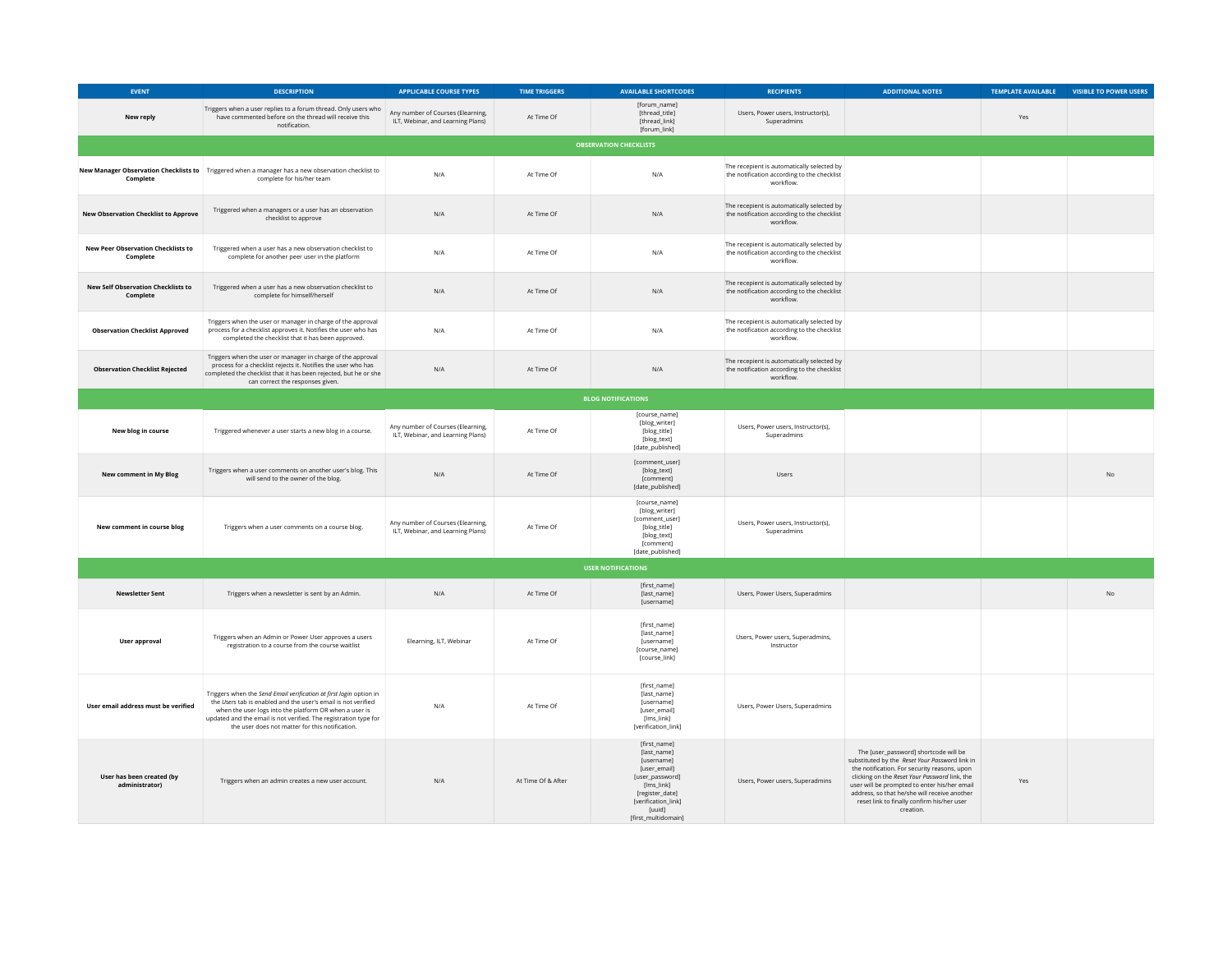| <b>EVENT</b>                                          | <b>DESCRIPTION</b>                                                                                                                                                                                                                                                                                                   | <b>APPLICABLE COURSE TYPES</b>                                         | <b>TIME TRIGGERS</b> | <b>AVAILABLE SHORTCODES</b>                                                                                                                                                  | <b>RECIPIENTS</b>                                                                                      | <b>ADDITIONAL NOTES</b>                                                                                                                                                                                                                                                                                                                             | TEMPLATE AVAILABLE | <b>VISIBLE TO POWER USERS</b> |  |  |
|-------------------------------------------------------|----------------------------------------------------------------------------------------------------------------------------------------------------------------------------------------------------------------------------------------------------------------------------------------------------------------------|------------------------------------------------------------------------|----------------------|------------------------------------------------------------------------------------------------------------------------------------------------------------------------------|--------------------------------------------------------------------------------------------------------|-----------------------------------------------------------------------------------------------------------------------------------------------------------------------------------------------------------------------------------------------------------------------------------------------------------------------------------------------------|--------------------|-------------------------------|--|--|
| New reply                                             | Triggers when a user replies to a forum thread. Only users who<br>have commented before on the thread will receive this<br>notification.                                                                                                                                                                             | Any number of Courses (Elearning,<br>ILT, Webinar, and Learning Plans) | At Time Of           | [forum_name]<br>[thread title]<br>[thread_link]<br>[forum_link]                                                                                                              | Users, Power users, Instructor(s),<br>Superadmins                                                      |                                                                                                                                                                                                                                                                                                                                                     | Yes                |                               |  |  |
|                                                       |                                                                                                                                                                                                                                                                                                                      |                                                                        |                      | <b>OBSERVATION CHECKLISTS</b>                                                                                                                                                |                                                                                                        |                                                                                                                                                                                                                                                                                                                                                     |                    |                               |  |  |
| Complete                                              | New Manager Observation Checklists to Triggered when a manager has a new observation checklist to<br>complete for his/her team                                                                                                                                                                                       | N/A                                                                    | At Time Of           | N/A                                                                                                                                                                          | The recepient is automatically selected by<br>the notification according to the checklist<br>workflow. |                                                                                                                                                                                                                                                                                                                                                     |                    |                               |  |  |
| <b>New Observation Checklist to Approve</b>           | Triggered when a managers or a user has an observation<br>checklist to approve                                                                                                                                                                                                                                       | N/A                                                                    | At Time Of           | $\mathsf{N}/\mathsf{A}$                                                                                                                                                      | The recepient is automatically selected by<br>the notification according to the checklist<br>workflow. |                                                                                                                                                                                                                                                                                                                                                     |                    |                               |  |  |
| <b>New Peer Observation Checklists to</b><br>Complete | Triggered when a user has a new observation checklist to<br>complete for another peer user in the platform                                                                                                                                                                                                           | N/A                                                                    | At Time Of           | N/A                                                                                                                                                                          | The recepient is automatically selected by<br>the notification according to the checklist<br>workflow. |                                                                                                                                                                                                                                                                                                                                                     |                    |                               |  |  |
| <b>New Self Observation Checklists to</b><br>Complete | Triggered when a user has a new observation checklist to<br>complete for himself/herself                                                                                                                                                                                                                             | N/A                                                                    | At Time Of           | N/A                                                                                                                                                                          | The recepient is automatically selected by<br>the notification according to the checklist<br>workflow. |                                                                                                                                                                                                                                                                                                                                                     |                    |                               |  |  |
| <b>Observation Checklist Approved</b>                 | Triggers when the user or manager in charge of the approval<br>process for a checklist approves it. Notifies the user who has<br>completed the checklist that it has been approved.                                                                                                                                  | N/A                                                                    | At Time Of           | N/A                                                                                                                                                                          | The recepient is automatically selected by<br>the notification according to the checklist<br>workflow. |                                                                                                                                                                                                                                                                                                                                                     |                    |                               |  |  |
| <b>Observation Checklist Rejected</b>                 | Triggers when the user or manager in charge of the approval<br>process for a checklist rejects it. Notifies the user who has<br>completed the checklist that it has been rejected, but he or she<br>can correct the responses given.                                                                                 | N/A                                                                    | At Time Of           | N/A                                                                                                                                                                          | The recepient is automatically selected by<br>the notification according to the checklist<br>workflow. |                                                                                                                                                                                                                                                                                                                                                     |                    |                               |  |  |
| <b>BLOG NOTIFICATIONS</b>                             |                                                                                                                                                                                                                                                                                                                      |                                                                        |                      |                                                                                                                                                                              |                                                                                                        |                                                                                                                                                                                                                                                                                                                                                     |                    |                               |  |  |
| New blog in course                                    | Triggered whenever a user starts a new blog in a course.                                                                                                                                                                                                                                                             | Any number of Courses (Elearning,<br>ILT, Webinar, and Learning Plans) | At Time Of           | [course_name]<br>[blog_writer]<br>[blog_title]<br>[blog_text]<br>[date_published]                                                                                            | Users, Power users, Instructor(s),<br>Superadmins                                                      |                                                                                                                                                                                                                                                                                                                                                     |                    |                               |  |  |
| New comment in My Blog                                | Triggers when a user comments on another user's blog. This<br>will send to the owner of the blog.                                                                                                                                                                                                                    | N/A                                                                    | At Time Of           | [comment user]<br>[blog_text]<br>[comment]<br>[date_published]                                                                                                               | Lisers                                                                                                 |                                                                                                                                                                                                                                                                                                                                                     |                    | N <sub>0</sub>                |  |  |
| New comment in course blog                            | Triggers when a user comments on a course blog.                                                                                                                                                                                                                                                                      | Any number of Courses (Elearning,<br>ILT, Webinar, and Learning Plans) | At Time Of           | [course_name]<br>[blog_writer]<br>[comment_user]<br>[blog_title]<br>[blog_text]<br>[comment]<br>[date_published]                                                             | Users, Power users, Instructor(s),<br>Superadmins                                                      |                                                                                                                                                                                                                                                                                                                                                     |                    |                               |  |  |
|                                                       |                                                                                                                                                                                                                                                                                                                      |                                                                        |                      | <b>USER NOTIFICATIONS</b>                                                                                                                                                    |                                                                                                        |                                                                                                                                                                                                                                                                                                                                                     |                    |                               |  |  |
| <b>Newsletter Sent</b>                                | Triggers when a newsletter is sent by an Admin.                                                                                                                                                                                                                                                                      | N/A                                                                    | At Time Of           | [first_name]<br>[last_name]<br>[username]                                                                                                                                    | Users, Power Users, Superadmins                                                                        |                                                                                                                                                                                                                                                                                                                                                     |                    | N <sub>0</sub>                |  |  |
| User approval                                         | Triggers when an Admin or Power User approves a users<br>registration to a course from the course waitlist                                                                                                                                                                                                           | Elearning, ILT, Webinar                                                | At Time Of           | [first_name]<br>flast namel<br>[username]<br>[course_name]<br>[course_link]                                                                                                  | Users, Power users, Superadmins,<br>Instructor                                                         |                                                                                                                                                                                                                                                                                                                                                     |                    |                               |  |  |
| User email address must be verified                   | Triggers when the Send Email verification at first login option in<br>the Users tab is enabled and the user's email is not verified<br>when the user logs into the platform OR when a user is<br>updated and the email is not verified. The registration type for<br>the user does not matter for this notification. | N/A                                                                    | At Time Of           | [first_name]<br>[last_name]<br>[username]<br>[user_email]<br>[lms_link]<br>[verification_link]                                                                               | Users, Power Users, Superadmins                                                                        |                                                                                                                                                                                                                                                                                                                                                     |                    |                               |  |  |
| User has been created (by<br>administrator)           | Triggers when an admin creates a new user account.                                                                                                                                                                                                                                                                   | N/A                                                                    | At Time Of & After   | [first_name]<br>[last_name]<br>[username]<br>[user_email]<br>[user_password]<br>[lms_link]<br>[register_date]<br>[verification link]<br><b>fuuid1</b><br>[first_multidomain] | Users, Power users, Superadmins                                                                        | The [user_password] shortcode will be<br>substituted by the Reset Your Password link in<br>the notification. For security reasons, upon<br>clicking on the Reset Your Password link, the<br>user will be prompted to enter his/her email<br>address, so that he/she will receive another<br>reset link to finally confirm his/her user<br>creation. | Yes                |                               |  |  |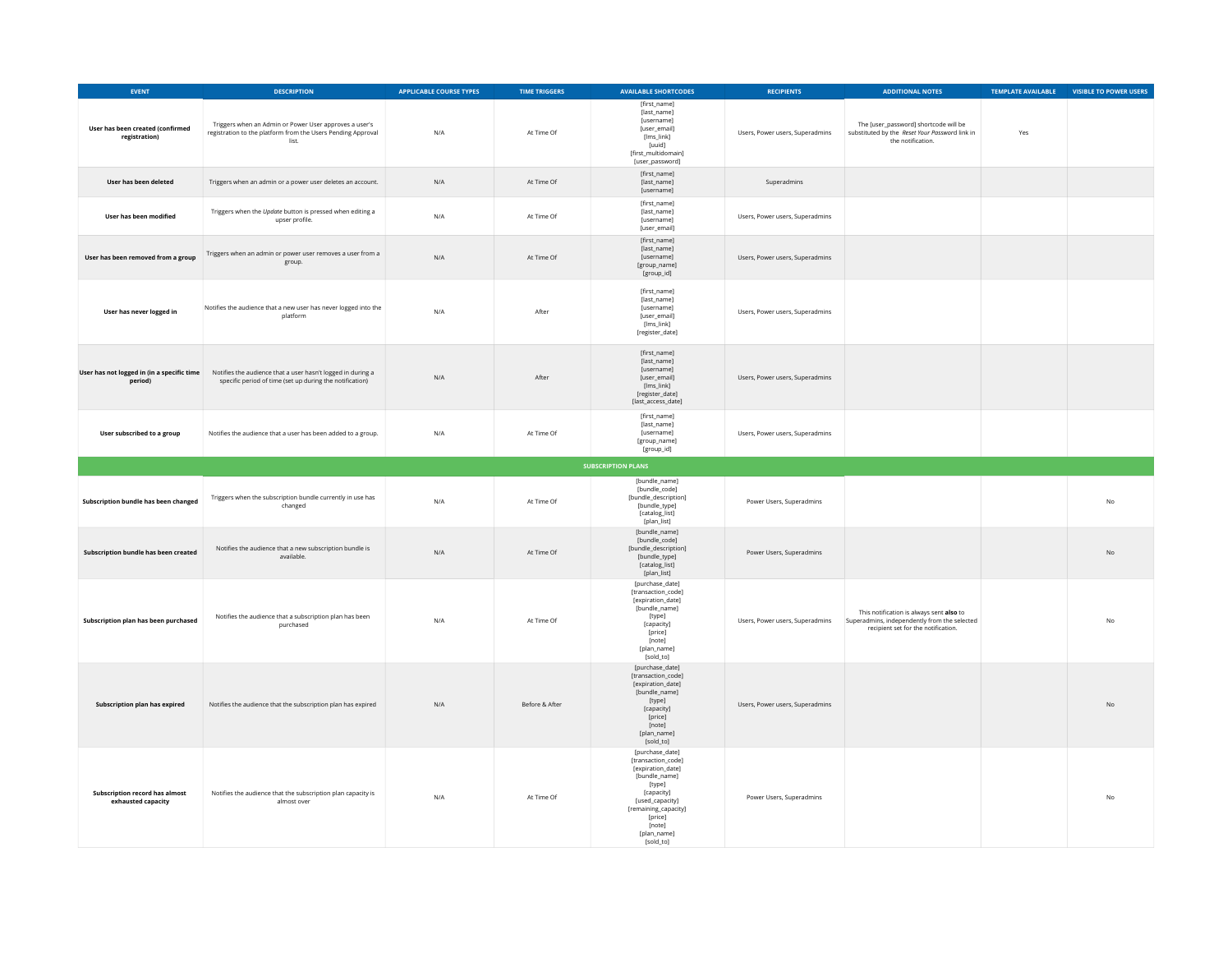| EVENT                                                       | <b>DESCRIPTION</b>                                                                                                              | <b>APPLICABLE COURSE TYPES</b> | <b>TIME TRIGGERS</b> | <b>AVAILABLE SHORTCODES</b>                                                                                                                                                                     | <b>RECIPIENTS</b>               | <b>ADDITIONAL NOTES</b>                                                                                                         | TEMPLATE AVAILABLE | <b>VISIBLE TO POWER USERS</b> |
|-------------------------------------------------------------|---------------------------------------------------------------------------------------------------------------------------------|--------------------------------|----------------------|-------------------------------------------------------------------------------------------------------------------------------------------------------------------------------------------------|---------------------------------|---------------------------------------------------------------------------------------------------------------------------------|--------------------|-------------------------------|
| User has been created (confirmed<br>registration)           | Triggers when an Admin or Power User approves a user's<br>registration to the platform from the Users Pending Approval<br>list. | N/A                            | At Time Of           | [first_name]<br>[last_name]<br>[username]<br>[user_email]<br>[lms_link]<br>[uuid]<br>[first_multidomain]<br>[user_password]                                                                     | Users, Power users, Superadmins | The [user_password] shortcode will be<br>substituted by the Reset Your Password link in<br>the notification.                    | Yes                |                               |
| User has been deleted                                       | Triggers when an admin or a power user deletes an account.                                                                      | N/A                            | At Time Of           | [first name]<br>[last_name]<br>[username]                                                                                                                                                       | Superadmins                     |                                                                                                                                 |                    |                               |
| User has been modified                                      | Triggers when the Update button is pressed when editing a<br>upser profile.                                                     | N/A                            | At Time Of           | [first_name]<br>[last_name]<br>fusernamel<br>[user_email]                                                                                                                                       | Users, Power users, Superadmins |                                                                                                                                 |                    |                               |
| User has been removed from a group                          | Triggers when an admin or power user removes a user from a<br>group.                                                            | N/A                            | At Time Of           | [first_name]<br>[last_name]<br>[username]<br>[group_name]<br>[group_id]                                                                                                                         | Users, Power users, Superadmins |                                                                                                                                 |                    |                               |
| User has never logged in                                    | Notifies the audience that a new user has never logged into the<br>platform                                                     | N/A                            | After                | [first_name]<br>[last_name]<br>[username]<br>[user_email]<br>[lms_link]<br>[register_date]                                                                                                      | Users, Power users, Superadmins |                                                                                                                                 |                    |                               |
| User has not logged in (in a specific time<br>period)       | Notifies the audience that a user hasn't logged in during a<br>specific period of time (set up during the notification)         | N/A                            | After                | [first_name]<br>[last_name]<br>[username]<br>[user_email]<br>[lms_link]<br>[register date]<br>[last_access_date]                                                                                | Users, Power users, Superadmins |                                                                                                                                 |                    |                               |
| User subscribed to a group                                  | Notifies the audience that a user has been added to a group.                                                                    | N/A                            | At Time Of           | Ifirst namel<br>[last_name]<br>[username]<br>[group_name]<br>[group_id]                                                                                                                         | Users, Power users, Superadmins |                                                                                                                                 |                    |                               |
|                                                             |                                                                                                                                 |                                |                      | <b>SUBSCRIPTION PLANS</b>                                                                                                                                                                       |                                 |                                                                                                                                 |                    |                               |
| Subscription bundle has been changed                        | Triggers when the subscription bundle currently in use has<br>changed                                                           | N/A                            | At Time Of           | [bundle_name]<br>[bundle_code]<br>[bundle_description]<br>[bundle_type]<br>[catalog_list]<br>[plan list]                                                                                        | Power Users, Superadmins        |                                                                                                                                 |                    | N <sub>0</sub>                |
| Subscription bundle has been created                        | Notifies the audience that a new subscription bundle is<br>available.                                                           | N/A                            | At Time Of           | [bundle_name]<br>[bundle_code]<br>[bundle_description]<br>[bundle_type]<br>[catalog_list]<br>[plan_list]                                                                                        | Power Users, Superadmins        |                                                                                                                                 |                    | No                            |
| Subscription plan has been purchased                        | Notifies the audience that a subscription plan has been<br>purchased                                                            | N/A                            | At Time Of           | [purchase_date]<br>[transaction_code]<br>[expiration_date]<br>[bundle_name]<br>[type]<br>[capacity]<br>[price]<br>[note]<br>[plan_name]<br>[sold_to]                                            | Users, Power users, Superadmins | This notification is always sent also to<br>Superadmins, independently from the selected<br>recipient set for the notification. |                    | No                            |
| Subscription plan has expired                               | Notifies the audience that the subscription plan has expired                                                                    | $\mathsf{N}/\mathsf{A}$        | Before & After       | [purchase_date]<br>[transaction_code]<br>[expiration_date]<br>[bundle_name]<br>[type]<br>[capacity]<br>[price]<br>[note]<br>[plan_name]<br>[sold_to]                                            | Users, Power users, Superadmins |                                                                                                                                 |                    | $_{\sf No}$                   |
| <b>Subscription record has almost</b><br>exhausted capacity | Notifies the audience that the subscription plan capacity is<br>almost over                                                     | N/A                            | At Time Of           | [purchase_date]<br>[transaction_code]<br>[expiration_date]<br>[bundle_name]<br>[type]<br>[capacity]<br>[used_capacity]<br>[remaining_capacity]<br>[price]<br>[note]<br>[plan_name]<br>[sold_to] | Power Users, Superadmins        |                                                                                                                                 |                    | No                            |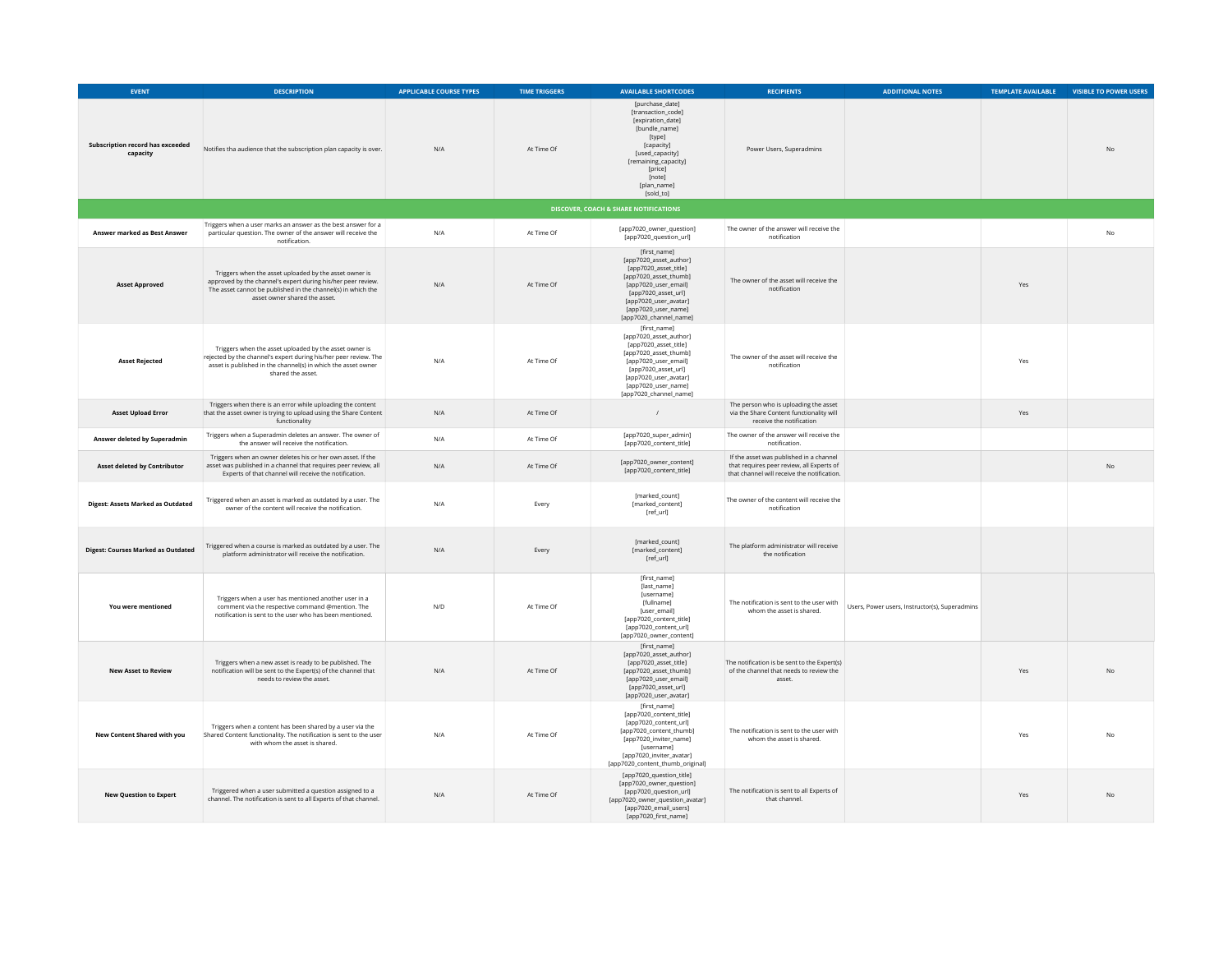| <b>EVENT</b>                                        | <b>DESCRIPTION</b>                                                                                                                                                                                                      | <b>APPLICABLE COURSE TYPES</b> | <b>TIME TRIGGERS</b> | <b>AVAILABLE SHORTCODES</b>                                                                                                                                                                                       | <b>RECIPIENTS</b>                                                                                                                   | <b>ADDITIONAL NOTES</b>                        | TEMPLATE AVAILABLE | <b>VISIBLE TO POWER USERS</b> |
|-----------------------------------------------------|-------------------------------------------------------------------------------------------------------------------------------------------------------------------------------------------------------------------------|--------------------------------|----------------------|-------------------------------------------------------------------------------------------------------------------------------------------------------------------------------------------------------------------|-------------------------------------------------------------------------------------------------------------------------------------|------------------------------------------------|--------------------|-------------------------------|
| <b>Subscription record has exceeded</b><br>capacity | Notifies tha audience that the subscription plan capacity is over.                                                                                                                                                      | N/A                            | At Time Of           | [purchase_date]<br>[transaction_code]<br>[expiration_date]<br>[bundle_name]<br>[type]<br><b>f</b> capacity]<br>[used capacity]<br>[remaining_capacity]<br>[price]<br><b>Inotel</b><br>[plan_name]<br>[sold_to]    | Power Users, Superadmins                                                                                                            |                                                |                    | <b>No</b>                     |
|                                                     |                                                                                                                                                                                                                         |                                |                      | <b>DISCOVER, COACH &amp; SHARE NOTIFICATIONS</b>                                                                                                                                                                  |                                                                                                                                     |                                                |                    |                               |
| Answer marked as Best Answer                        | Triggers when a user marks an answer as the best answer for a<br>particular question. The owner of the answer will receive the<br>notification.                                                                         | N/A                            | At Time Of           | [app7020 owner question]<br>[app7020_question_url]                                                                                                                                                                | The owner of the answer will receive the<br>notification                                                                            |                                                |                    | <b>No</b>                     |
| <b>Asset Approved</b>                               | Triggers when the asset uploaded by the asset owner is<br>approved by the channel's expert during his/her peer review.<br>The asset cannot be published in the channel(s) in which the<br>asset owner shared the asset. | N/A                            | At Time Of           | [first_name]<br>[app7020_asset_author]<br>[app7020 asset title]<br>[app7020_asset_thumb]<br>[app7020_user_email]<br>fapp7020 asset urll<br>[app7020_user_avatar]<br>[app7020_user_name]<br>[app7020_channel_name] | The owner of the asset will receive the<br>notification                                                                             |                                                | Yes                |                               |
| <b>Asset Rejected</b>                               | Triggers when the asset uploaded by the asset owner is<br>rejected by the channel's expert during his/her peer review. The<br>asset is published in the channel(s) in which the asset owner<br>shared the asset.        | N/A                            | At Time Of           | [first_name]<br>[app7020_asset_author]<br>[app7020_asset_title]<br>[app7020_asset_thumb]<br>[app7020_user_email]<br>[app7020_asset_url]<br>fapp7020 user avatar1<br>[app7020 user name]<br>[app7020_channel_name] | The owner of the asset will receive the<br>notification                                                                             |                                                | Yes                |                               |
| <b>Asset Upload Error</b>                           | Triggers when there is an error while uploading the content<br>that the asset owner is trying to upload using the Share Content<br>functionality                                                                        | N/A                            | At Time Of           | $\prime$                                                                                                                                                                                                          | The person who is uploading the asset<br>via the Share Content functionality will<br>receive the notification                       |                                                | Yes.               |                               |
| Answer deleted by Superadmin                        | Triggers when a Superadmin deletes an answer. The owner of<br>the answer will receive the notification.                                                                                                                 | N/A                            | At Time Of           | [app7020_super_admin]<br>[app7020_content_title]                                                                                                                                                                  | The owner of the answer will receive the<br>notification.                                                                           |                                                |                    |                               |
| <b>Asset deleted by Contributor</b>                 | Triggers when an owner deletes his or her own asset. If the<br>asset was published in a channel that requires peer review, all<br>Experts of that channel will receive the notification.                                | N/A                            | At Time Of           | [app7020 owner content]<br>[app7020_content_title]                                                                                                                                                                | If the asset was published in a channel<br>that requires peer review, all Experts of<br>that channel will receive the notification. |                                                |                    | <b>No</b>                     |
| <b>Digest: Assets Marked as Outdated</b>            | Triggered when an asset is marked as outdated by a user. The<br>owner of the content will receive the notification.                                                                                                     | N/A                            | Every                | [marked_count]<br>[marked_content]<br>[ref_url]                                                                                                                                                                   | The owner of the content will receive the<br>notification                                                                           |                                                |                    |                               |
| <b>Digest: Courses Marked as Outdated</b>           | Triggered when a course is marked as outdated by a user. The<br>platform administrator will receive the notification.                                                                                                   | N/A                            | Every                | [marked_count]<br>[marked_content]<br>[ref_url]                                                                                                                                                                   | The platform administrator will receive<br>the notification                                                                         |                                                |                    |                               |
| You were mentioned                                  | Triggers when a user has mentioned another user in a<br>comment via the respective command @mention. The<br>notification is sent to the user who has been mentioned.                                                    | N/D                            | At Time Of           | [first_name]<br>[last_name]<br>[username]<br>[fullname]<br>[user_email]<br>[app7020_content_title]<br>[app7020_content_url]<br>[app7020_owner_content]                                                            | The notification is sent to the user with<br>whom the asset is shared.                                                              | Users, Power users, Instructor(s), Superadmins |                    |                               |
| <b>New Asset to Review</b>                          | Triggers when a new asset is ready to be published. The<br>notification will be sent to the Expert(s) of the channel that<br>needs to review the asset.                                                                 | N/A                            | At Time Of           | [first_name]<br>[app7020 asset author]<br>[app7020_asset_title]<br>[app7020_asset_thumb]<br>[app7020_user_email]<br>[app7020_asset_url]<br>[app7020_user_avatar]                                                  | The notification is be sent to the Expert(s)<br>of the channel that needs to review the<br>asset.                                   |                                                | Yes                | <b>No</b>                     |
| New Content Shared with you                         | Triggers when a content has been shared by a user via the<br>Shared Content functionality. The notification is sent to the user<br>with whom the asset is shared.                                                       | N/A                            | At Time Of           | [first_name]<br>[app7020 content title]<br>[app7020 content url]<br>[app7020_content_thumb]<br>[app7020_inviter_name]<br>fusernamel<br>[app7020_inviter_avatar]<br>[app7020_content_thumb_original]               | The notification is sent to the user with<br>whom the asset is shared.                                                              |                                                | Yes                | N <sub>0</sub>                |
| <b>New Question to Expert</b>                       | Triggered when a user submitted a question assigned to a<br>channel. The notification is sent to all Experts of that channel.                                                                                           | N/A                            | At Time Of           | [app7020_question_title]<br>[app7020_owner_question]<br>[app7020_question_url]<br>[app7020_owner_question_avatar]<br>[app7020_email_users]<br>[app7020 first name]                                                | The notification is sent to all Experts of<br>that channel.                                                                         |                                                | Yes                | <b>No</b>                     |